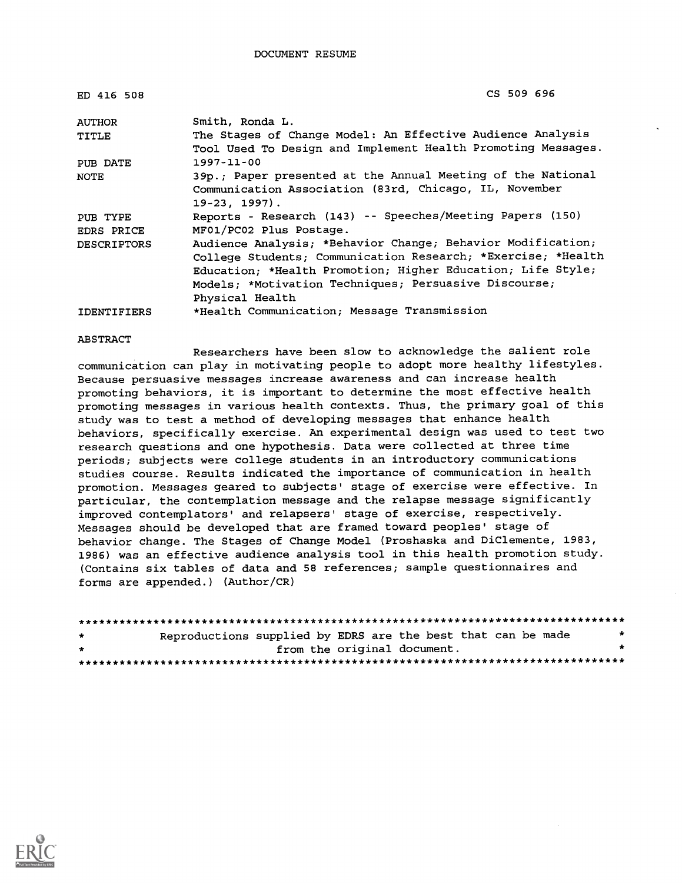| ED 416 508         | CS 509 696                                                   |
|--------------------|--------------------------------------------------------------|
| <b>AUTHOR</b>      | Smith, Ronda L.<br>$\sim$                                    |
| <b>TITLE</b>       | The Stages of Change Model: An Effective Audience Analysis   |
|                    | Tool Used To Design and Implement Health Promoting Messages. |
| PUB DATE           | $1997 - 11 - 00$                                             |
| NOTE               | 39p.; Paper presented at the Annual Meeting of the National  |
|                    | Communication Association (83rd, Chicago, IL, November       |
|                    | $19-23$ , $1997$ ).                                          |
| PUB TYPE           | Reports - Research (143) -- Speeches/Meeting Papers (150)    |
| EDRS PRICE         | MF01/PC02 Plus Postage.                                      |
| <b>DESCRIPTORS</b> | Audience Analysis; *Behavior Change; Behavior Modification;  |
|                    | College Students; Communication Research; *Exercise; *Health |
|                    | Education; *Health Promotion; Higher Education; Life Style;  |
|                    | Models; *Motivation Techniques; Persuasive Discourse;        |
|                    | Physical Health                                              |
| <b>IDENTIFIERS</b> | *Health Communication; Message Transmission                  |

#### ABSTRACT

Researchers have been slow to acknowledge the salient role communication can play in motivating people to adopt more healthy lifestyles. Because persuasive messages increase awareness and can increase health promoting behaviors, it is important to determine the most effective health promoting messages in various health contexts. Thus, the primary goal of this study was to test a method of developing messages that enhance health behaviors, specifically exercise. An experimental design was used to test two research questions and one hypothesis. Data were collected at three time periods; subjects were college students in an introductory communications studies course. Results indicated the importance of communication in health promotion. Messages geared to subjects' stage of exercise were effective. In particular, the contemplation message and the relapse message significantly improved contemplators' and relapsers' stage of exercise, respectively. Messages should be developed that are framed toward peoples' stage of behavior change. The Stages of Change Model (Proshaska and DiClemente, 1983, 1986) was an effective audience analysis tool in this health promotion study. (Contains six tables of data and 58 references; sample questionnaires and forms are appended.) (Author/CR)

| $\star$ | Reproductions supplied by EDRS are the best that can be made |                             |  |  | $\star$ |
|---------|--------------------------------------------------------------|-----------------------------|--|--|---------|
| $\cdot$ |                                                              | from the original document. |  |  |         |
|         |                                                              |                             |  |  |         |

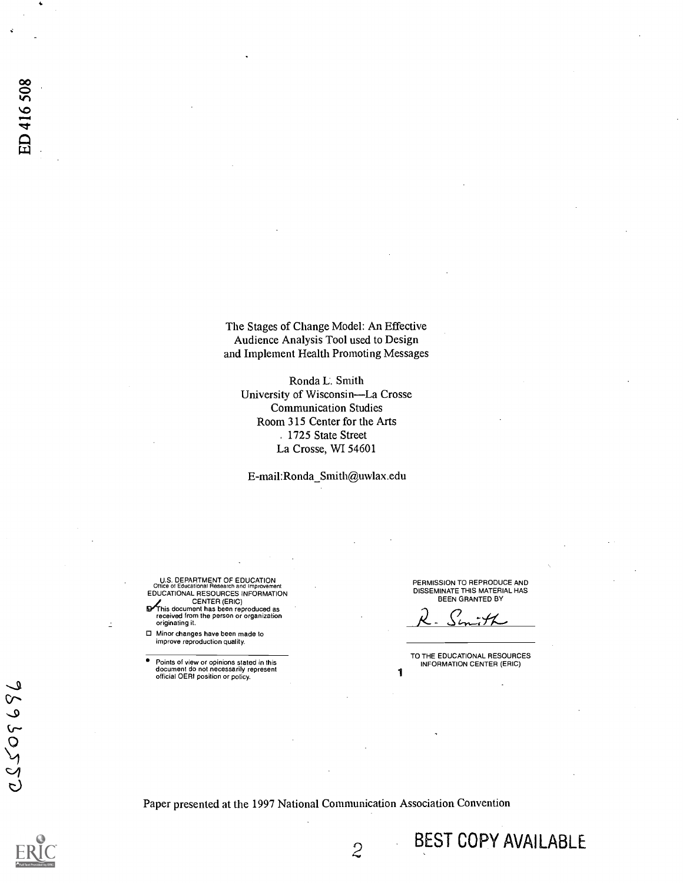The Stages of Change Model: An Effective Audience Analysis Tool used to Design and Implement Health Promoting Messages

Ronda L. Smith University of Wisconsin-La Crosse Communication Studies Room 315 Center for the Arts . 1725 State Street La Crosse, WI 54601

E-mail: Ronda\_Smith@uwlax.edu

U.S. DEPARTMENT OF EDUCATION Office of Educational Research and Improvement EDUCATIONAL RESOURCES INFORMATION

CENTER (ERIC)<br>Franceived from the person or organization<br>received from the person or organization originating it.

Minor changes have been made to improve reproduction quality.

Points of view or opinions stated in this<br>document do not necessarily represent<br>official OERI position or policy.

PERMISSION TO REPRODUCE AND DISSEMINATE THIS MATERIAL HAS BEEN GRANTED BY

TO THE EDUCATIONAL RESOURCES INFORMATION CENTER (ERIC)

BEST COPY AVAILABLE

Paper presented at the 1997 National Communication Association Convention

 $\overline{2}$ 

7593055

**D**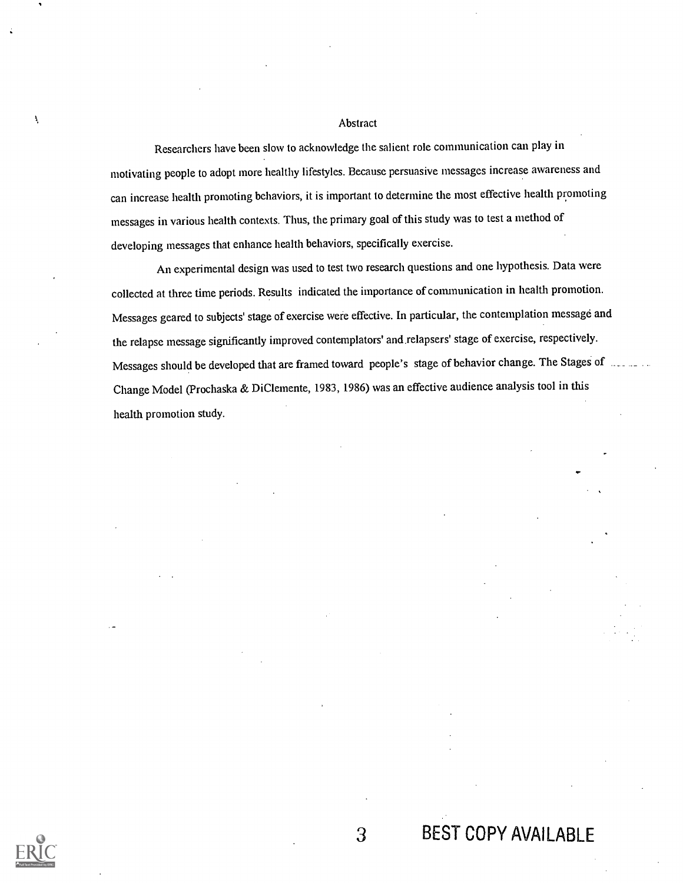### Abstract

Researchers have been slow to acknowledge the salient role communication can play in motivating people to adopt more healthy lifestyles. Because persuasive messages increase awareness and can increase health promoting behaviors, it is important to determine the most effective health promoting messages in various health contexts. Thus, the primary goal of this study was to test a method of developing messages that enhance health behaviors, specifically exercise.

An experimental design was used to test two research questions and one hypothesis. Data were collected at three time periods. Results indicated the importance of communication in health promotion. Messages geared to subjects' stage of exercise were effective. In particular, the contemplation message and the relapse message significantly improved contemplators' and.relapsers' stage of exercise, respectively. Messages should be developed that are framed toward people's stage of behavior change. The Stages of Change Model (Prochaska & DiClemente, 1983, 1986) was an effective audience analysis tool in this health promotion study.



Ł

3 BEST COPY AVAILABLE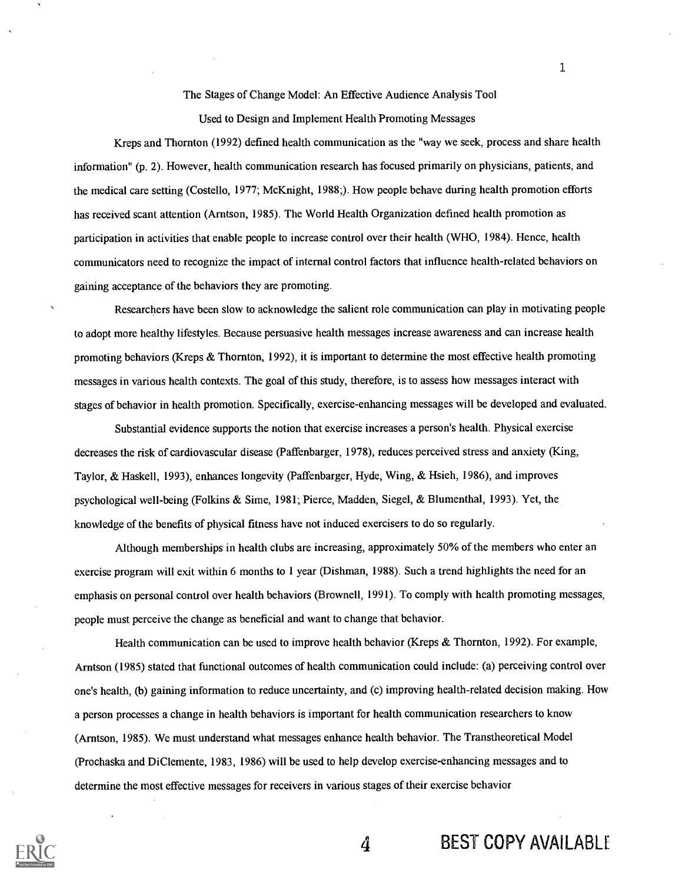The Stages of Change Model: An Effective Audience Analysis Tool

Used to Design and Implement Health Promoting Messages

Kreps and Thornton (1992) defined health communication as the "way we seek, process and share health information" (p. 2). However, health communication research has focused primarily on physicians, patients, and the medical care setting (Costello, 1977; McKnight, 1988;). How people behave during health promotion efforts has received scant attention (Arntson, 1985). The World Health Organization defined health promotion as participation in activities that enable people to increase control over their health (WHO, 1984). Hence, health communicators need to recognize the impact of internal control factors that influence health-related behaviors on gaining acceptance of the behaviors they are promoting.

Researchers have been slow to acknowledge the salient role communication can play in motivating people to adopt more healthy lifestyles. Because persuasive health messages increase awareness and can increase health promoting behaviors (Kreps & Thornton, 1992), it is important to determine the most effective health promoting messages in various health contexts. The goal of this study, therefore, is to assess how messages interact with stages of behavior in health promotion. Specifically, exercise-enhancing messages will be developed and evaluated.

Substantial evidence supports the notion that exercise increases a person's health. Physical exercise decreases the risk of cardiovascular disease (Paffenbarger, 1978), reduces perceived stress and anxiety (King, Taylor, & Haskell, 1993), enhances longevity (Paffenbarger, Hyde, Wing, & Hsieh, 1986), and improves psychological well-being (Folkins & Sime, 1981; Pierce, Madden, Siegel, & Blumenthal, 1993). Yet, the knowledge of the benefits of physical fitness have not induced exercisers to do so regularly.

Although memberships in health clubs are increasing, approximately 50% of the members who enter an exercise program will exit within 6 months to 1 year (Dishman, 1988). Such a trend highlights the need for an emphasis on personal control over health behaviors (Brownell, 1991). To comply with health promoting messages, people must perceive the change as beneficial and want to change that behavior.

Health communication can be used to improve health behavior (Kreps & Thornton, 1992). For example, Arntson (1985) stated that functional outcomes of health communication could include: (a) perceiving control over one's health, (b) gaining information to reduce uncertainty, and (c) improving health-related decision making. How a person processes a change in health behaviors is important for health communication researchers to know (Arntson, 1985). We must understand what messages enhance health behavior. The Transtheoretical Model (Prochaska and DiClemente, 1983, 1986) will be used to help develop exercise-enhancing messages and to determine the most effective messages for receivers in various stages of their exercise behavior



4 BEST COPY AVAILABLE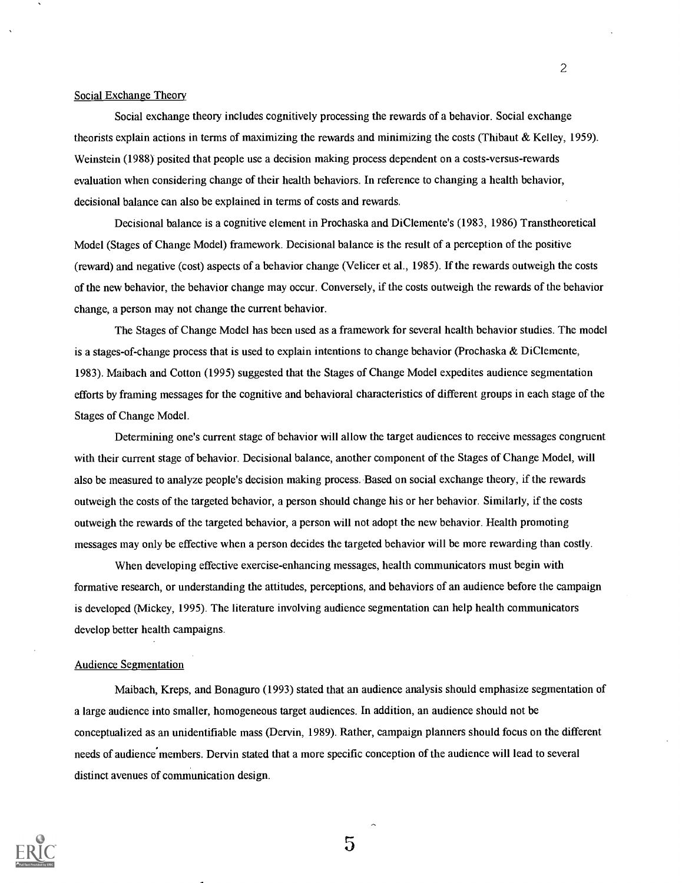### Social Exchange Theory

Social exchange theory includes cognitively processing the rewards of a behavior. Social exchange theorists explain actions in terms of maximizing the rewards and minimizing the costs (Thibaut & Kelley, 1959). Weinstein (1988) posited that people use a decision making process dependent on a costs-versus-rewards evaluation when considering change of their health behaviors. In reference to changing a health behavior, decisional balance can also be explained in terms of costs and rewards.

Decisional balance is a cognitive element in Prochaska and DiClemente's (1983, 1986) Transtheoretical Model (Stages of Change Model) framework. Decisional balance is the result of a perception of the positive (reward) and negative (cost) aspects of a behavior change (Velicer et al., 1985). If the rewards outweigh the costs of the new behavior, the behavior change may occur. Conversely, if the costs outweigh the rewards of the behavior change, a person may not change the current behavior.

The Stages of Change Model has been used as a framework for several health behavior studies. The model is a stages-of-change process that is used to explain intentions to change behavior (Prochaska & DiClemente, 1983). Maibach and Cotton (1995) suggested that the Stages of Change Model expedites audience segmentation efforts by framing messages for the cognitive and behavioral characteristics of different groups in each stage of the Stages of Change Model.

Determining one's current stage of behavior will allow the target audiences to receive messages congruent with their current stage of behavior. Decisional balance, another component of the Stages of Change Model, will also be measured to analyze people's decision making process. Based on social exchange theory, if the rewards outweigh the costs of the targeted behavior, a person should change his or her behavior. Similarly, if the costs outweigh the rewards of the targeted behavior, a person will not adopt the new behavior. Health promoting messages may only be effective when a person decides the targeted behavior will be more rewarding than costly.

When developing effective exercise-enhancing messages, health communicators must begin with formative research, or understanding the attitudes, perceptions, and behaviors of an audience before the campaign is developed (Mickey, 1995). The literature involving audience segmentation can help health communicators develop better health campaigns.

### Audience Segmentation

Maibach, Kreps, and Bonaguro (1993) stated that an audience analysis should emphasize segmentation of a large audience into smaller, homogeneous target audiences. In addition, an audience should not be conceptualized as an unidentifiable mass (Dervin, 1989). Rather, campaign planners should focus on the different needs of audience'members. Dervin stated that a more specific conception of the audience will lead to several distinct avenues of communication design.



2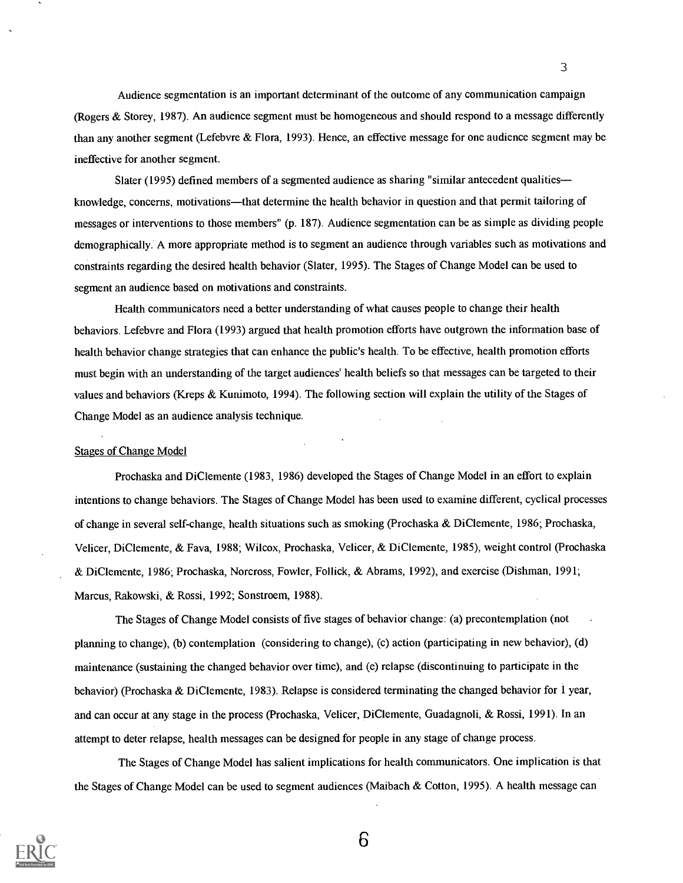Audience segmentation is an important determinant of the outcome of any communication campaign (Rogers & Storey, 1987). An audience segment must be homogeneous and should respond to a message differently than any another segment (Lefebvre & Flora, 1993). Hence, an effective message for one audience segment may be ineffective for another segment.

3

Slater (1995) defined members of a segmented audience as sharing "similar antecedent qualities knowledge, concerns, motivations—that determine the health behavior in question and that permit tailoring of messages or interventions to those members" (p. 187). Audience segmentation can be as simple as dividing people demographically. A more appropriate method is to segment an audience through variables such as motivations and constraints regarding the desired health behavior (Slater, 1995). The Stages of Change Model can be used to segment an audience based on motivations and constraints.

Health communicators need a better understanding of what causes people to change their health behaviors. Lefebvre and Flora (1993) argued that health promotion efforts have outgrown the information base of health behavior change strategies that can enhance the public's health. To be effective, health promotion efforts must begin with an understanding of the target audiences' health beliefs so that messages can be targeted to their values and behaviors (Kreps & Kunimoto, 1994). The following section will explain the utility of the Stages of Change Model as an audience analysis technique.

#### Stages of Change Model

Prochaska and DiClemente (1983, 1986) developed the Stages of Change Model in an effort to explain intentions to change behaviors. The Stages of Change Model has been used to examine different, cyclical processes of change in several self-change, health situations such as smoking (Prochaska & DiClemente, 1986; Prochaska, Velicer, Di Clemente, & Fava, 1988; Wilcox, Prochaska, Velicer, & Di Clemente, 1985), weight control (Prochaska & Di Clemente, 1986; Prochaska, Norcross, Fowler, Follick, & Abrams, 1992), and exercise (Dishman, 1991; Marcus, Rakowski, & Rossi, 1992; Sonstroem, 1988).

The Stages of Change Model consists of five stages of behavior change: (a) precontemplation (not planning to change), (b) contemplation (considering to change), (c) action (participating in new behavior), (d) maintenance (sustaining the changed behavior over time), and (e) relapse (discontinuing to participate in the behavior) (Prochaska & DiClemente, 1983). Relapse is considered terminating the changed behavior for 1 year, and can occur at any stage in the process (Prochaska, Velicer, DiClemente, Guadagnoli, & Rossi, 1991). In an attempt to deter relapse, health messages can be designed for people in any stage of change process.

The Stages of Change Model has salient implications for health communicators. One implication is that the Stages of Change Model can be used to segment audiences (Maibach & Cotton, 1995). A health message can

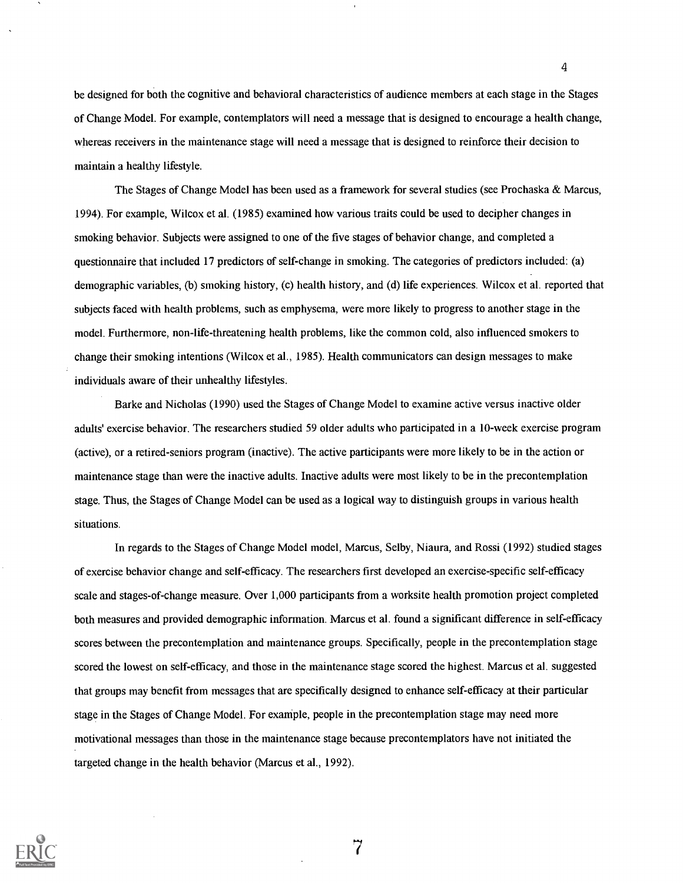be designed for both the cognitive and behavioral characteristics of audience members at each stage in the Stages of Change Model. For example, contemplators will need a message that is designed to encourage a health change, whereas receivers in the maintenance stage will need a message that is designed to reinforce their decision to maintain a healthy lifestyle.

4

The Stages of Change Model has been used as a framework for several studies (see Prochaska & Marcus, 1994). For example, Wilcox et al. (1985) examined how various traits could be used to decipher changes in smoking behavior. Subjects were assigned to one of the five stages of behavior change, and completed a questionnaire that included 17 predictors of self-change in smoking. The categories of predictors included: (a) demographic variables, (b) smoking history, (c) health history, and (d) life experiences. Wilcox et al. reported that subjects faced with health problems, such as emphysema, were more likely to progress to another stage in the model. Furthermore, non-life-threatening health problems, like the common cold, also influenced smokers to change their smoking intentions (Wilcox et al., 1985). Health communicators can design messages to make individuals aware of their unhealthy lifestyles.

Barke and Nicholas (1990) used the Stages of Change Model to examine active versus inactive older adults' exercise behavior. The researchers studied 59 older adults who participated in a 10-week exercise program (active), or a retired-seniors program (inactive). The active participants were more likely to be in the action or maintenance stage than were the inactive adults. Inactive adults were most likely to be in the precontemplation stage. Thus, the Stages of Change Model can be used as a logical way to distinguish groups in various health situations.

In regards to the Stages of Change Model model, Marcus, Selby, Niaura, and Rossi (1992) studied stages of exercise behavior change and self-efficacy. The researchers first developed an exercise-specific self-efficacy scale and stages-of-change measure. Over 1,000 participants from a worksite health promotion project completed both measures and provided demographic information. Marcus et al. found a significant difference in self-efficacy scores between the precontemplation and maintenance groups. Specifically, people in the precontemplation stage scored the lowest on self-efficacy, and those in the maintenance stage scored the highest. Marcus et al. suggested that groups may benefit from messages that are specifically designed to enhance self-efficacy at their particular stage in the Stages of Change Model. For example, people in the precontemplation stage may need more motivational messages than those in the maintenance stage because precontemplators have not initiated the targeted change in the health behavior (Marcus et al., 1992).

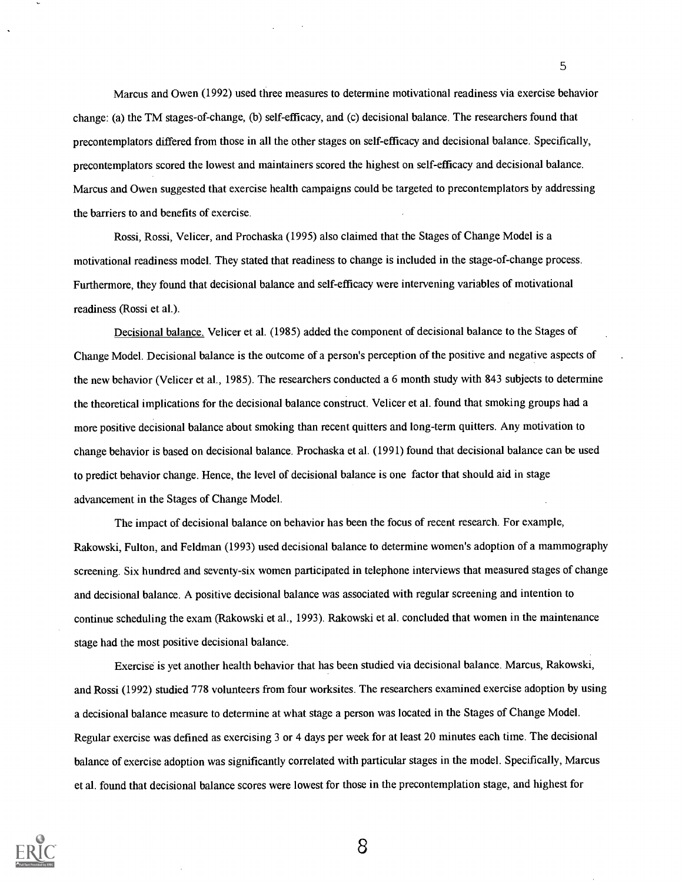Marcus and Owen (1992) used three measures to determine motivational readiness via exercise behavior change: (a) the TM stages-of-change, (b) self-efficacy, and (c) decisional balance. The researchers found that precontemplators differed from those in all the other stages on self-efficacy and decisional balance. Specifically, precontemplators scored the lowest and maintainers scored the highest on self-efficacy and decisional balance. Marcus and Owen suggested that exercise health campaigns could be targeted to precontemplators by addressing the barriers to and benefits of exercise.

5

Rossi, Rossi, Velicer, and Prochaska (1995) also claimed that the Stages of Change Model is a motivational readiness model. They stated that readiness to change is included in the stage-of-change process. Furthermore, they found that decisional balance and self-efficacy were intervening variables of motivational readiness (Rossi et al.).

Decisional balance. Velicer et al. (1985) added the component of decisional balance to the Stages of Change Model. Decisional balance is the outcome of a person's perception of the positive and negative aspects of the new behavior (Velicer et al., 1985). The researchers conducted a 6 month study with 843 subjects to determine the theoretical implications for the decisional balance construct. Velicer et al. found that smoking groups had a more positive decisional balance about smoking than recent quitters and long-term quitters. Any motivation to change behavior is based on decisional balance. Prochaska et al. (1991) found that decisional balance can be used to predict behavior change. Hence, the level of decisional balance is one factor that should aid in stage advancement in the Stages of Change Model.

The impact of decisional balance on behavior has been the focus of recent research. For example, Rakowski, Fulton, and Feldman (1993) used decisional balance to determine women's adoption of a mammography screening. Six hundred and seventy-six women participated in telephone interviews that measured stages of change and decisional balance. A positive decisional balance was associated with regular screening and intention to continue scheduling the exam (Rakowski et al., 1993). Rakowski et al. concluded that women in the maintenance stage had the most positive decisional balance.

Exercise is yet another health behavior that has been studied via decisional balance. Marcus, Rakowski, and Rossi (1992) studied 778 volunteers from four worksites. The researchers examined exercise adoption by using a decisional balance measure to determine at what stage a person was located in the Stages of Change Model. Regular exercise was defined as exercising 3 or 4 days per week for at least 20 minutes each time. The decisional balance of exercise adoption was significantly correlated with particular stages in the model. Specifically, Marcus et al. found that decisional balance scores were lowest for those in the precontemplation stage, and highest for

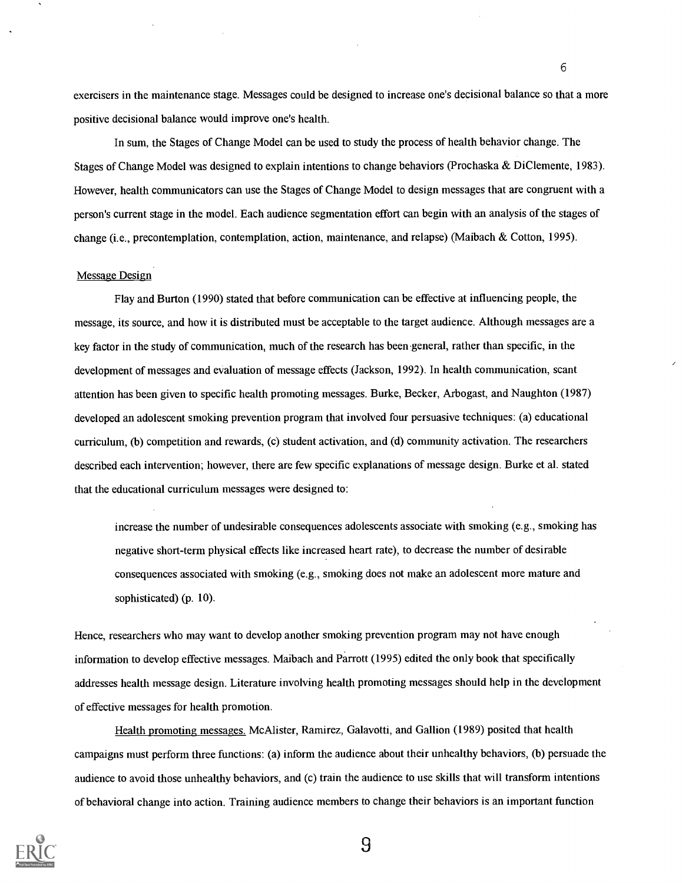exercisers in the maintenance stage. Messages could be designed to increase one's decisional balance so that a more positive decisional balance would improve one's health.

6

In sum, the Stages of Change Model can be used to study the process of health behavior change. The Stages of Change Model was designed to explain intentions to change behaviors (Prochaska & DiClemente, 1983). However, health communicators can use the Stages of Change Model to design messages that are congruent with a person's current stage in the model. Each audience segmentation effort can begin with an analysis of the stages of change (i.e., precontemplation, contemplation, action, maintenance, and relapse) (Maibach & Cotton, 1995).

### Message Design

Flay and Burton (1990) stated that before communication can be effective at influencing people, the message, its source, and how it is distributed must be acceptable to the target audience. Although messages are a key factor in the study of communication, much of the research has been-general, rather than specific, in the development of messages and evaluation of message effects (Jackson, 1992). In health communication, scant attention has been given to specific health promoting messages. Burke, Becker, Arbogast, and Naughton (1987) developed an adolescent smoking prevention program that involved four persuasive techniques: (a) educational curriculum, (b) competition and rewards, (c) student activation, and (d) community activation. The researchers described each intervention; however, there are few specific explanations of message design. Burke et al. stated that the educational curriculum messages were designed to:

increase the number of undesirable consequences adolescents associate with smoking (e.g., smoking has negative short-term physical effects like increased heart rate), to decrease the number of desirable consequences associated with smoking (e.g., smoking does not make an adolescent more mature and sophisticated) (p. 10).

Hence, researchers who may want to develop another smoking prevention program may not have enough information to develop effective messages. Maibach and Parrott (1995) edited the only book that specifically addresses health message design. Literature involving health promoting messages should help in the development of effective messages for health promotion.

Health promoting messages. McAlister, Ramirez, Galavotti, and Gallion (1989) posited that health campaigns must perform three functions: (a) inform the audience about their unhealthy behaviors, (b) persuade the audience to avoid those unhealthy behaviors, and (c) train the audience to use skills that will transform intentions of behavioral change into action. Training audience members to change their behaviors is an important function

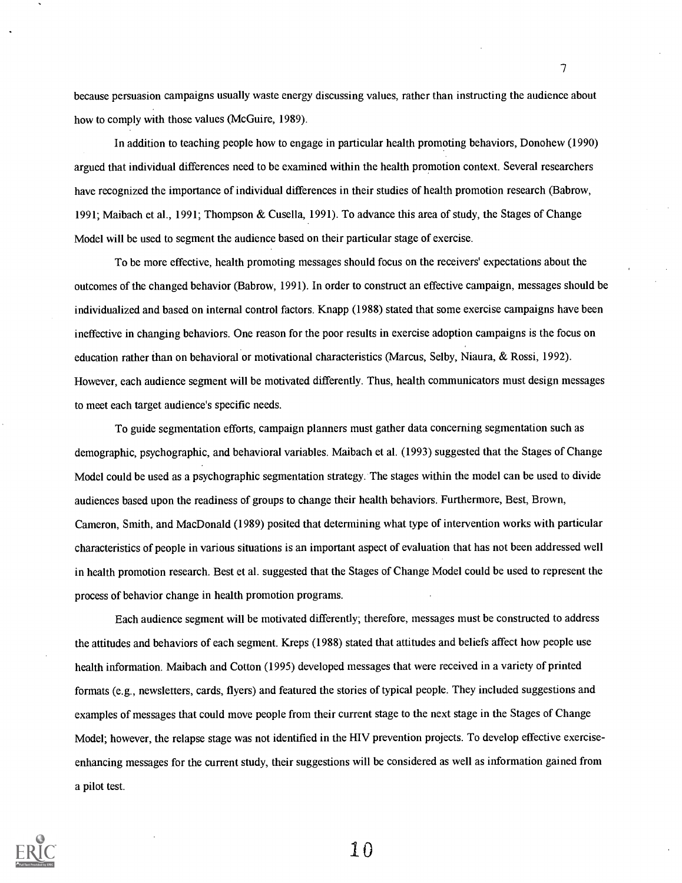because persuasion campaigns usually waste energy discussing values, rather than instructing the audience about how to comply with those values (McGuire, 1989).

7

In addition to teaching people how to engage in particular health promoting behaviors, Donohew (1990) argued that individual differences need to be examined within the health promotion context. Several researchers have recognized the importance of individual differences in their studies of health promotion research (Babrow, 1991; Maibach et al., 1991; Thompson & Cusella, 1991). To advance this area of study, the Stages of Change Model will be used to segment the audience based on their particular stage of exercise.

To be more effective, health promoting messages should focus on the receivers' expectations about the outcomes of the changed behavior (Babrow, 1991). In order to construct an effective campaign, messages should be individualized and based on internal control factors. Knapp (1988) stated that some exercise campaigns have been ineffective in changing behaviors. One reason for the poor results in exercise adoption campaigns is the focus on education rather than on behavioral or motivational characteristics (Marcus, Selby, Niaura, & Rossi, 1992). However, each audience segment will be motivated differently. Thus, health communicators must design messages to meet each target audience's specific needs.

To guide segmentation efforts, campaign planners must gather data concerning segmentation such as demographic, psychographic, and behavioral variables. Maibach et al. (1993) suggested that the Stages of Change Model could be used as a psychographic segmentation strategy. The stages within the model can be used to divide audiences based upon the readiness of groups to change their health behaviors. Furthermore, Best, Brown, Cameron, Smith, and MacDonald (1989) posited that determining what type of intervention works with particular characteristics of people in various situations is an important aspect of evaluation that has not been addressed well in health promotion research. Best et al. suggested that the Stages of Change Model could be used to represent the process of behavior change in health promotion programs.

Each audience segment will be motivated differently; therefore, messages must be constructed to address the attitudes and behaviors of each segment. Kreps (1988) stated that attitudes and beliefs affect how people use health information. Maibach and Cotton (1995) developed messages that were received in a variety of printed formats (e.g., newsletters, cards, flyers) and featured the stories of typical people. They included suggestions and examples of messages that could move people from their current stage to the next stage in the Stages of Change Model; however, the relapse stage was not identified in the HIV prevention projects. To develop effective exerciseenhancing messages for the current study, their suggestions will be considered as well as information gained from a pilot test.

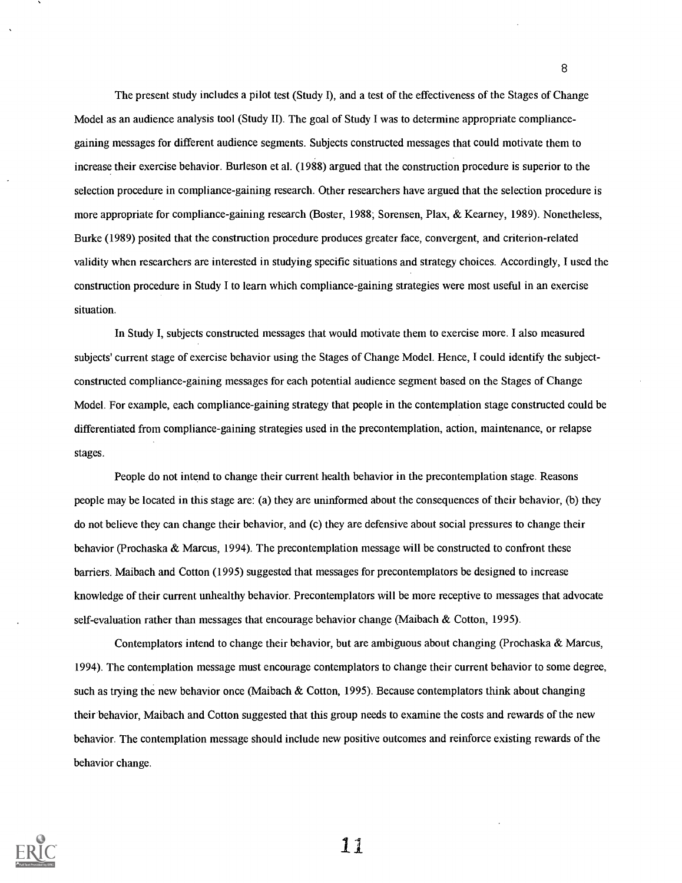The present study includes a pilot test (Study I), and a test of the effectiveness of the Stages of Change Model as an audience analysis tool (Study II). The goal of Study I was to determine appropriate compliancegaining messages for different audience segments. Subjects constructed messages that could motivate them to increase their exercise behavior. Burleson et al. (1988) argued that the construction procedure is superior to the selection procedure in compliance-gaining research. Other researchers have argued that the selection procedure is more appropriate for compliance-gaining research (Boster, 1988; Sorensen, Plax, & Kearney, 1989). Nonetheless, Burke (1989) posited that the construction procedure produces greater face, convergent, and criterion-related validity when researchers are interested in studying specific situations and strategy choices. Accordingly, I used the construction procedure in Study Ito learn which compliance-gaining strategies were most useful in an exercise situation.

In Study I, subjects constructed messages that would motivate them to exercise more. I also measured subjects' current stage of exercise behavior using the Stages of Change Model. Hence, I could identify the subjectconstructed compliance-gaining messages for each potential audience segment based on the Stages of Change Model. For example, each compliance-gaining strategy that people in the contemplation stage constructed could be differentiated from compliance-gaining strategies used in the precontemplation, action, maintenance, or relapse stages.

People do not intend to change their current health behavior in the precontemplation stage. Reasons people may be located in this stage are: (a) they are uninformed about the consequences of their behavior, (b) they do not believe they can change their behavior, and (c) they are defensive about social pressures to change their behavior (Prochaska & Marcus, 1994). The precontemplation message will be constructed to confront these barriers. Maibach and Cotton (1995) suggested that messages for precontemplators be designed to increase knowledge of their current unhealthy behavior. Precontemplators will be more receptive to messages that advocate self-evaluation rather than messages that encourage behavior change (Maibach & Cotton, 1995).

Contemplators intend to change their behavior, but are ambiguous about changing (Prochaska & Marcus, 1994). The contemplation message must encourage contemplators to change their current behavior to some degree, such as trying the new behavior once (Maibach & Cotton, 1995). Because contemplators think about changing their behavior, Maibach and Cotton suggested that this group needs to examine the costs and rewards of the new behavior. The contemplation message should include new positive outcomes and reinforce existing rewards of the behavior change.



1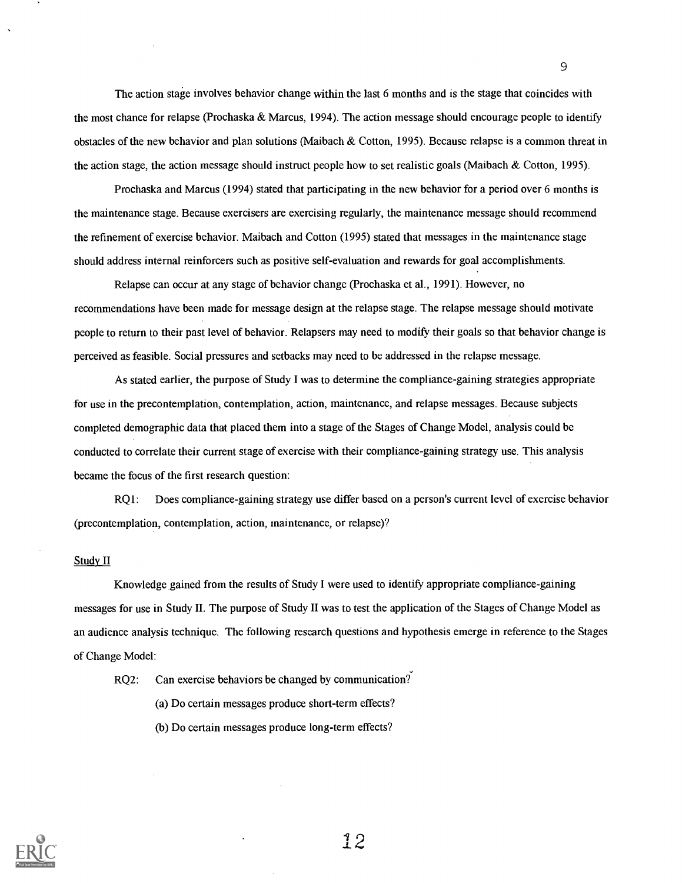The action stage involves behavior change within the last 6 months and is the stage that coincides with the most chance for relapse (Prochaska & Marcus, 1994). The action message should encourage people to identify obstacles of the new behavior and plan solutions (Maibach & Cotton, 1995). Because relapse is a common threat in the action stage, the action message should instruct people how to set realistic goals (Maibach & Cotton, 1995).

Prochaska and Marcus (1994) stated that participating in the new behavior for a period over 6 months is the maintenance stage. Because exercisers are exercising regularly, the maintenance message should recommend the refinement of exercise behavior. Maibach and Cotton (1995) stated that messages in the maintenance stage should address internal reinforcers such as positive self-evaluation and rewards for goal accomplishments.

Relapse can occur at any stage of behavior change (Prochaska et al., 1991). However, no recommendations have been made for message design at the relapse stage. The relapse message should motivate people to return to their past level of behavior. Relapsers may need to modify their goals so that behavior change is perceived as feasible. Social pressures and setbacks may need to be addressed in the relapse message.

As stated earlier, the purpose of Study I was to determine the compliance-gaining strategies appropriate for use in the precontemplation, contemplation, action, maintenance, and relapse messages. Because subjects completed demographic data that placed them into a stage of the Stages of Change Model, analysis could be conducted to correlate their current stage of exercise with their compliance-gaining strategy use. This analysis became the focus of the first research question:

RQ1: Does compliance-gaining strategy use differ based on a person's current level of exercise behavior (precontemplation, contemplation, action, maintenance, or relapse)?

### Study II

Knowledge, gained from the results of Study I were used to identify appropriate compliance-gaining messages for use in Study II. The purpose of Study II was to test the application of the Stages of Change Model as an audience analysis technique. The following research questions and hypothesis emerge in reference to the Stages of Change Model:

RQ2: Can exercise behaviors be changed by communication?

(a) Do certain messages produce short-term effects?

(b) Do certain messages produce long-term effects?

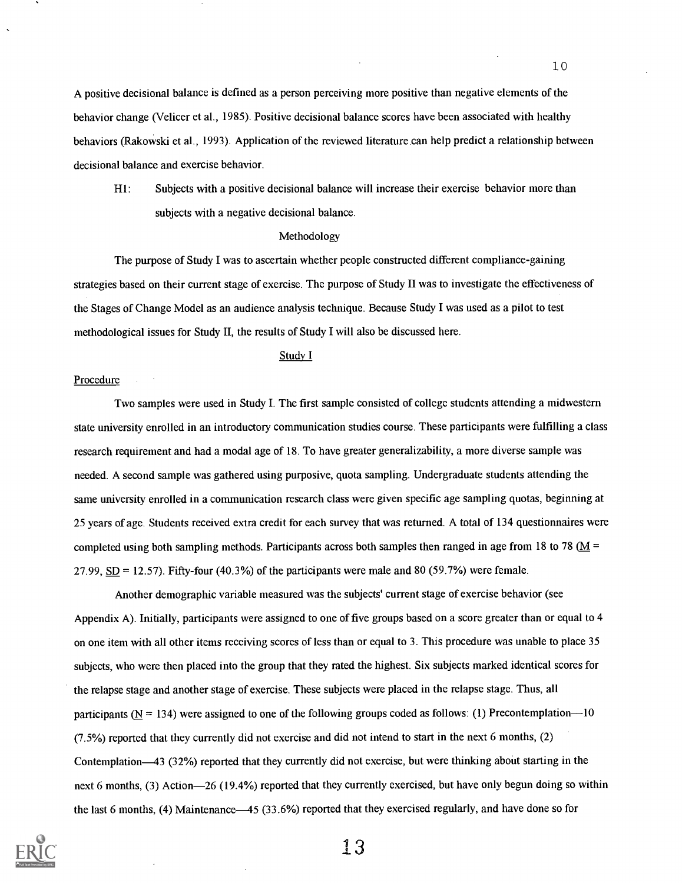A positive decisional balance is defined as a person perceiving more positive than negative elements of the behavior change (Velicer et al., 1985). Positive decisional balance scores have been associated with healthy behaviors (Rakowski et al., 1993). Application of the reviewed literature can help predict a relationship between decisional balance and exercise behavior.

HI: Subjects with a positive decisional balance will increase their exercise behavior more than subjects with a negative decisional balance.

### Methodology

The purpose of Study I was to ascertain whether people constructed different compliance-gaining strategies based on their current stage of exercise. The purpose of Study II was to investigate the effectiveness of the Stages of Change Model as an audience analysis technique. Because Study I was used as a pilot to test methodological issues for Study II, the results of Study I will also be discussed here.

### Study I

### Procedure

Two samples were used in Study I. The first sample consisted of college students attending a midwestern state university enrolled in an introductory communication studies course. These participants were fulfilling a class research requirement and had a modal age of 18. To have greater generalizability, a more diverse sample was needed. A second sample was gathered using purposive, quota sampling. Undergraduate students attending the same university enrolled in a communication research class were given specific age sampling quotas, beginning at 25 years of age. Students received extra credit for each survey that was returned. A total of 134 questionnaires were completed using both sampling methods. Participants across both samples then ranged in age from 18 to 78 ( $M =$ 27.99,  $SD = 12.57$ ). Fifty-four (40.3%) of the participants were male and 80 (59.7%) were female.

Another demographic variable measured was the subjects' current stage of exercise behavior (see Appendix A). Initially, participants were assigned to one of five groups based on a score greater than or equal to 4 on one item with all other items receiving scores of less than or equal to 3. This procedure was unable to place 35 subjects, who were then placed into the group that they rated the highest. Six subjects marked identical scores for the relapse stage and another stage of exercise. These subjects were placed in the relapse stage. Thus, all participants  $(N = 134)$  were assigned to one of the following groups coded as follows: (1) Precontemplation-10 (7.5%) reported that they currently did not exercise and did not intend to start in the next 6 months, (2) Contemplation-43 (32%) reported that they currently did not exercise, but were thinking about starting in the next 6 months, (3) Action-26 (19.4%) reported that they currently exercised, but have only begun doing so within the last 6 months, (4) Maintenance—45 (33.6%) reported that they exercised regularly, and have done so for

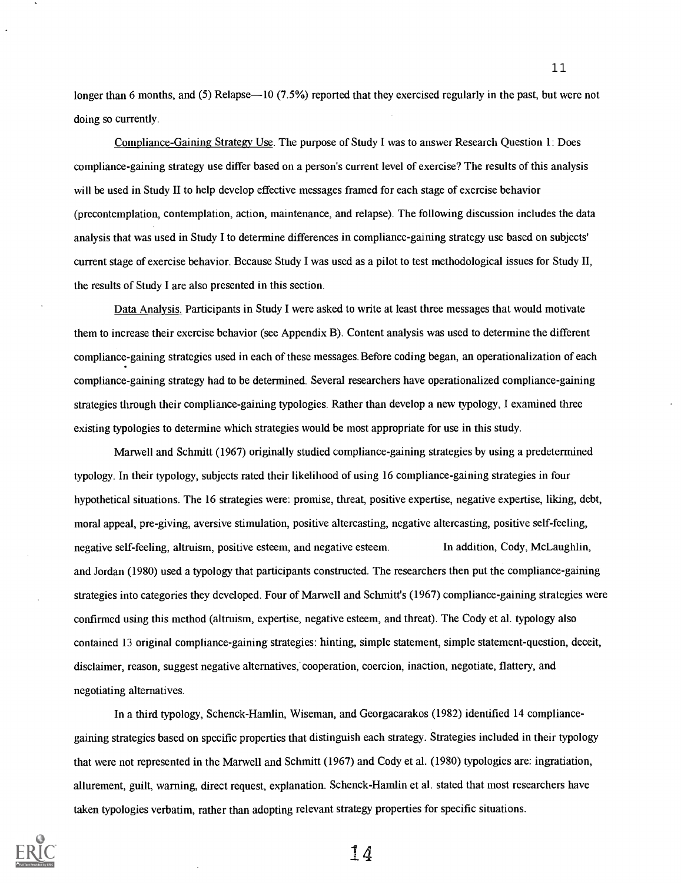longer than 6 months, and (5) Relapse—10 (7.5%) reported that they exercised regularly in the past, but were not doing so currently.

Compliance-Gaining Strategy Use. The purpose of Study I was to answer Research Question 1: Does compliance-gaining strategy use differ based on a person's current level of exercise? The results of this analysis will be used in Study II to help develop effective messages framed for each stage of exercise behavior (precontemplation, contemplation, action, maintenance, and relapse). The following discussion includes the data analysis that was used in Study Ito determine differences in compliance-gaining strategy use based on subjects' current stage of exercise behavior. Because Study I was used as a pilot to test methodological issues for Study II, the results of Study I are also presented in this section.

Data Analysis. Participants in Study I were asked to write at least three messages that would motivate them to increase their exercise behavior (see Appendix B). Content analysis was used to determine the different compliance-gaining strategies used in each of these messages. Before coding began, an operationalization of each compliance-gaining strategy had to be determined. Several researchers have operationalized compliance-gaining strategies through their compliance-gaining typologies. Rather than develop a new typology, I examined three existing typologies to determine which strategies would be most appropriate for use in this study.

Marwell and Schmitt (1967) originally studied compliance-gaining strategies by using a predetermined typology. In their typology, subjects rated their likelihood of using 16 compliance-gaining strategies in four hypothetical situations. The 16 strategies were: promise, threat, positive expertise, negative expertise, liking, debt, moral appeal, pre-giving, aversive stimulation, positive altercasting, negative altercasting, positive self-feeling, negative self-feeling, altruism, positive esteem, and negative esteem. In addition, Cody, McLaughlin, and Jordan (1980) used a typology that participants constructed. The researchers then put the compliance-gaining strategies into categories they developed. Four of Marwell and Schmitt's (1967) compliance-gaining strategies were confirmed using this method (altruism, expertise, negative esteem, and threat). The Cody et al. typology also contained 13 original compliance-gaining strategies: hinting, simple statement, simple statement-question, deceit, disclaimer, reason, suggest negative alternatives, cooperation, coercion, inaction, negotiate, flattery, and negotiating alternatives.

In a third typology, Schenck-Hamlin, Wiseman, and Georgacarakos (1982) identified 14 compliancegaining strategies based on specific properties that distinguish each strategy. Strategies included in their typology that were not represented in the Marwell and Schmitt (1967) and Cody et al. (1980) typologies are: ingratiation, allurement, guilt, warning, direct request, explanation. Schenck-Hamlin et al. stated that most researchers have taken typologies verbatim, rather than adopting relevant strategy properties for specific situations.



14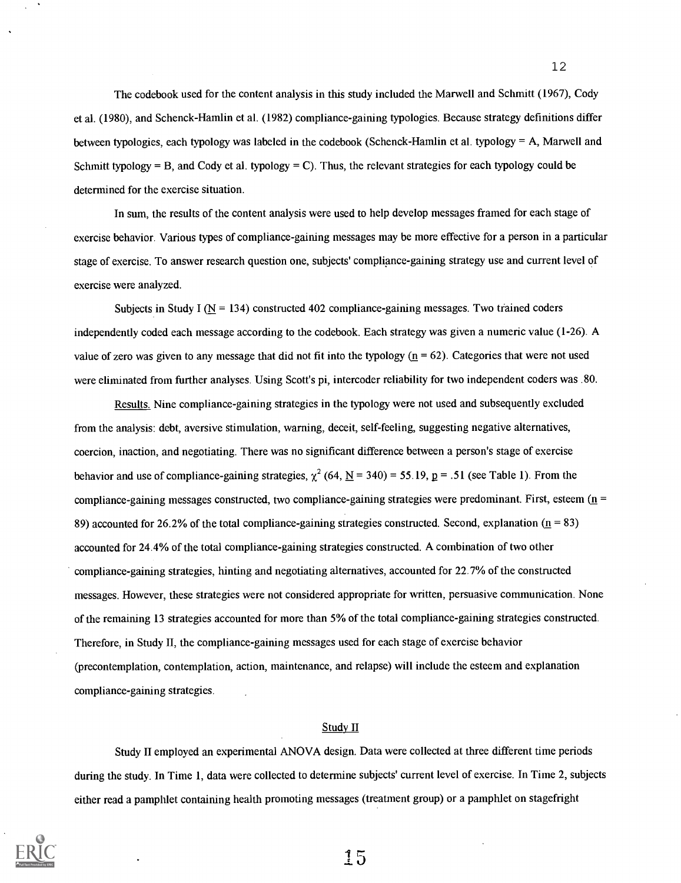The codebook used for the content analysis in this study included the Marwell and Schmitt (1967), Cody et al. (1980), and Schenck-Hamlin et al. (1982) compliance-gaining typologies. Because strategy definitions differ between typologies, each typology was labeled in the codebook (Schenck-Hamlin et al. typology = A, Marwell and Schmitt typology = B, and Cody et al. typology = C). Thus, the relevant strategies for each typology could be determined for the exercise situation.

In sum, the results of the content analysis were used to help develop messages framed for each stage of exercise behavior. Various types of compliance-gaining messages may be more effective for a person in a particular stage of exercise. To answer research question one, subjects' compliance-gaining strategy use and current level of exercise were analyzed.

Subjects in Study I ( $\overline{N}$  = 134) constructed 402 compliance-gaining messages. Two trained coders independently coded each message according to the codebook. Each strategy was given a numeric value (1-26). A value of zero was given to any message that did not fit into the typology  $(n = 62)$ . Categories that were not used were eliminated from further analyses. Using Scott's pi, intercoder reliability for two independent coders was .80.

Results. Nine compliance-gaining strategies in the typology were not used and subsequently excluded from the analysis: debt, aversive stimulation, warning, deceit, self-feeling, suggesting negative alternatives, coercion, inaction, and negotiating. There was no significant difference between a person's stage of exercise behavior and use of compliance-gaining strategies,  $\chi^2$  (64, <u>N</u> = 340) = 55.19, p = .51 (see Table 1). From the compliance-gaining messages constructed, two compliance-gaining strategies were predominant. First, esteem  $(n = 1, 1)$ 89) accounted for 26.2% of the total compliance-gaining strategies constructed. Second, explanation  $(n = 83)$ accounted for 24.4% of the total compliance-gaining strategies constructed. A combination of two other compliance-gaining strategies, hinting and negotiating alternatives, accounted for 22.7% of the constructed messages. However, these strategies were not considered appropriate for written, persuasive communication. None of the remaining 13 strategies accounted for more than 5% of the total compliance-gaining strategies constructed. Therefore, in Study II, the compliance-gaining messages used for each stage of exercise behavior (precontemplation, contemplation, action, maintenance, and relapse) will include the esteem and explanation compliance-gaining strategies.

#### Study II

Study II employed an experimental ANOVA design. Data were collected at three different time periods during the study. In Time 1, data were collected to determine subjects' current level of exercise. In Time 2, subjects either read a pamphlet containing health promoting messages (treatment group) or a pamphlet on stagefright

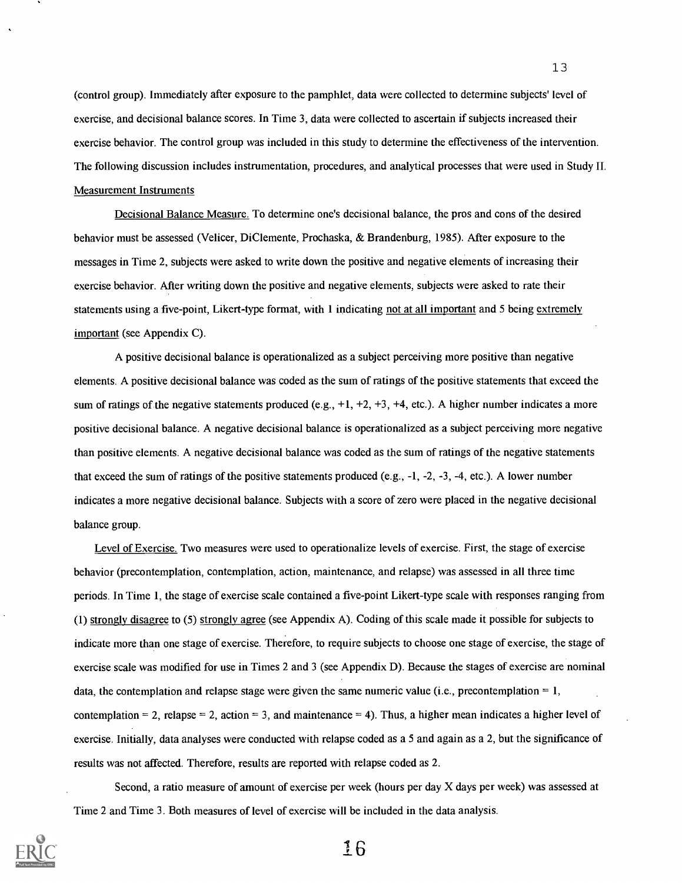(control group). Immediately after exposure to the pamphlet, data were collected to determine subjects' level of exercise, and decisional balance scores. In Time 3, data were collected to ascertain if subjects increased their exercise behavior. The control group was included in this study to determine the effectiveness of the intervention. The following discussion includes instrumentation, procedures, and analytical processes that were used in Study II. Measurement Instruments

Decisional Balance Measure. To determine one's decisional balance, the pros and cons of the desired behavior must be assessed (Velicer, DiClemente, Prochaska, & Brandenburg, 1985). After exposure to the messages in Time 2, subjects were asked to write down the positive and negative elements of increasing their exercise behavior. After writing down the positive and negative elements, subjects were asked to rate their statements using a five-point, Likert-type format, with 1 indicating not at all important and 5 being extremely important (see Appendix C).

A positive decisional balance is operationalized as a subject perceiving more positive than negative elements. A positive decisional balance was coded as the sum of ratings of the positive statements that exceed the sum of ratings of the negative statements produced (e.g.,  $+1$ ,  $+2$ ,  $+3$ ,  $+4$ , etc.). A higher number indicates a more positive decisional balance. A negative decisional balance is operationalized as a subject perceiving more negative than positive elements. A negative decisional balance was coded as the sum of ratings of the negative statements that exceed the sum of ratings of the positive statements produced (e.g., -1, -2, -3, -4, etc.). A lower number indicates a more negative decisional balance. Subjects with a score of zero were placed in the negative decisional balance group.

Level of Exercise. Two measures were used to operationalize levels of exercise. First, the stage of exercise behavior (precontemplation, contemplation, action, maintenance, and relapse) was assessed in all three time periods. In Time 1, the stage of exercise scale contained a five-point Likert-type scale with responses ranging from (1) strongly disagree to (5) strongly agree (see Appendix A). Coding of this scale made it possible for subjects to indicate more than one stage of exercise. Therefore, to require subjects to choose one stage of exercise, the stage of exercise scale was modified for use in Times 2 and 3 (see Appendix D). Because the stages of exercise are nominal data, the contemplation and relapse stage were given the same numeric value (i.e., precontemplation  $= 1$ , contemplation = 2, relapse = 2, action = 3, and maintenance = 4). Thus, a higher mean indicates a higher level of exercise. Initially, data analyses were conducted with relapse coded as a 5 and again as a 2, but the significance of results was not affected. Therefore, results are reported with relapse coded as 2.

Second, a ratio measure of amount of exercise per week (hours per day X days per week) was assessed at Time 2 and Time 3. Both measures of level of exercise will be included in the data analysis.

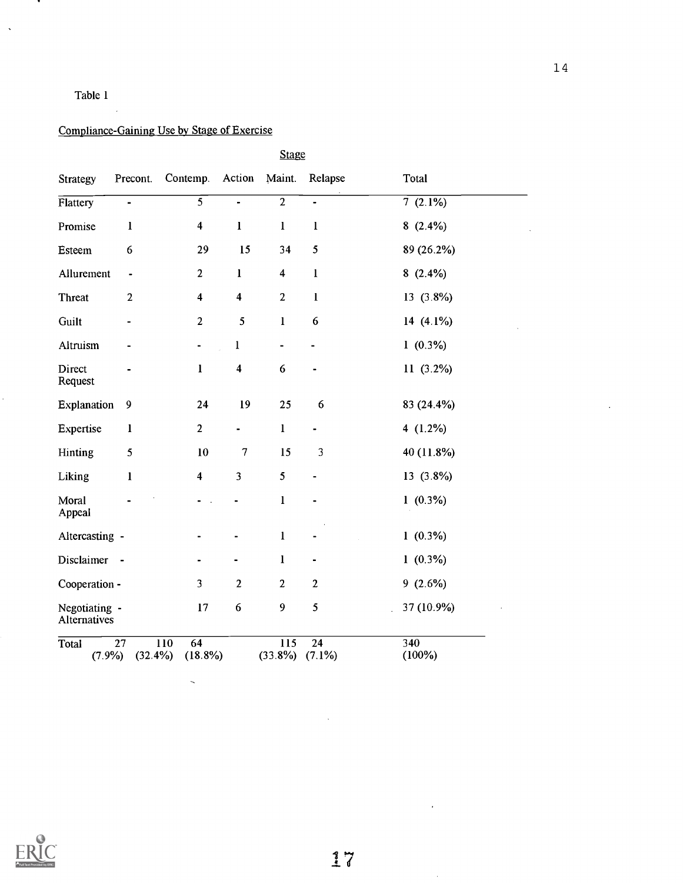# Table 1

.

 $\hat{\mathcal{A}}$ 

Ŷ,

# Compliance-Gaining Use by Stage of Exercise

 $\ddot{\phantom{1}}$ 

|                               |                  |                                      |                         | <b>Stage</b>            |                              |                  |
|-------------------------------|------------------|--------------------------------------|-------------------------|-------------------------|------------------------------|------------------|
| <b>Strategy</b>               | Precont.         | Contemp.                             | Action                  | Maint.                  | Relapse                      | Total            |
| Flattery                      | $\blacksquare$   | $\overline{5}$                       | $\overline{a}$          | $\overline{2}$          | $\overline{a}$               | 7(2.1%)          |
| Promise                       | $\bf{l}$         | $\overline{\mathbf{4}}$              | $\mathbf{l}$            | $\mathbf{l}$            | $\mathbf{l}$                 | $8(2.4\%)$       |
| Esteem                        | 6                | 29                                   | 15                      | 34                      | 5                            | 89 (26.2%)       |
| Allurement                    | $\blacksquare$   | $\mathbf{2}$                         | $\mathbf{l}$            | $\overline{\mathbf{4}}$ | $\mathbf{l}$                 | $8(2.4\%)$       |
| <b>Threat</b>                 | $\overline{2}$   | $\overline{\mathbf{4}}$              | $\overline{\mathbf{4}}$ | $\overline{2}$          | $\mathbf{I}$                 | $13(3.8\%)$      |
| Guilt                         | -                | $\boldsymbol{2}$                     | 5                       | $\mathbf{I}$            | 6                            | 14 $(4.1\%)$     |
| Altruism                      |                  | -                                    | $\mathbf{I}$            | $\blacksquare$          | $\qquad \qquad \blacksquare$ | $1(0.3\%)$       |
| Direct<br>Request             |                  | $\mathbf{l}$                         | $\overline{\mathbf{4}}$ | 6                       | $\blacksquare$               | $11(3.2\%)$      |
| Explanation                   | $\boldsymbol{9}$ | 24                                   | 19                      | 25                      | 6                            | 83 (24.4%)       |
| Expertise                     | $\mathbf{l}$     | $\overline{2}$                       | $\blacksquare$          | $\mathbf{l}$            | $\overline{\phantom{a}}$     | 4 $(1.2\%)$      |
| Hinting                       | 5                | 10                                   | $\overline{7}$          | 15                      | 3                            | 40 (11.8%)       |
| Liking                        | $\bf{l}$         | $\overline{\mathbf{4}}$              | 3                       | 5                       |                              | $13(3.8\%)$      |
| Moral<br>Appeal               |                  |                                      |                         | $\mathbf{l}$            |                              | $1(0.3\%)$       |
| Altercasting -                |                  |                                      |                         | $\bf{l}$                |                              | $1(0.3\%)$       |
| Disclaimer                    | $\sim$           |                                      |                         | $\bf{l}$                |                              | $1(0.3\%)$       |
| Cooperation -                 |                  | 3                                    | $\mathbf{2}$            | $\overline{2}$          | $\overline{2}$               | $9(2.6\%)$       |
| Negotiating -<br>Alternatives |                  | 17                                   | 6                       | 9                       | 5                            | 37 (10.9%)       |
| Total<br>$(7.9\%)$            | 27<br>$(32.4\%)$ | $\overline{64}$<br>110<br>$(18.8\%)$ |                         | 115<br>$(33.8\%)$       | 24<br>$(7.1\%)$              | 340<br>$(100\%)$ |



14

 $\ddot{\phantom{a}}$ 

 $\lambda$ 

 $\bar{z}$ 

 $\hat{\boldsymbol{\beta}}$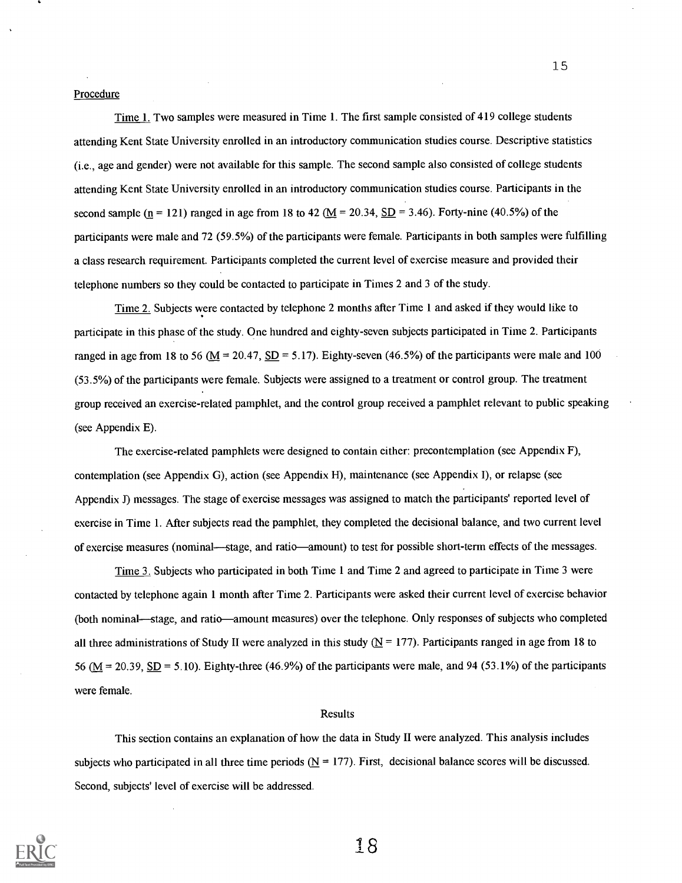### Procedure

Time 1. Two samples were measured in Time 1. The first sample consisted of 419 college students attending Kent State University enrolled in an introductory communication studies course. Descriptive statistics (i.e., age and gender) were not available for this sample. The second sample also consisted of college students attending Kent State University enrolled in an introductory communication studies course. Participants in the second sample ( $n = 121$ ) ranged in age from 18 to 42 ( $M = 20.34$ ,  $SD = 3.46$ ). Forty-nine (40.5%) of the participants were male and 72 (59.5%) of the participants were female. Participants in both samples were fulfilling a class research requirement. Participants completed the current level of exercise measure and provided their telephone numbers so they could be contacted to participate in Times 2 and 3 of the study.

Time 2. Subjects were contacted by telephone 2 months after Time 1 and asked if they would like to participate in this phase of the study. One hundred and eighty-seven subjects participated in Time 2. Participants ranged in age from 18 to 56 ( $M = 20.47$ ,  $SD = 5.17$ ). Eighty-seven (46.5%) of the participants were male and 100 (53.5%) of the participants were female. Subjects were assigned to a treatment or control group. The treatment group received an exercise-related pamphlet, and the control group received a pamphlet relevant to public speaking (see Appendix E).

The exercise-related pamphlets were designed to contain either: precontemplation (see Appendix F), contemplation (see Appendix G), action (see Appendix H), maintenance (see Appendix I), or relapse (see Appendix J) messages. The stage of exercise messages was assigned to match the participants' reported level of exercise in Time 1. After subjects read the pamphlet, they completed the decisional balance, and two current level of exercise measures (nominal—stage, and ratio—amount) to test for possible short-term effects of the messages.

Time 3. Subjects who participated in both Time 1 and Time 2 and agreed to participate in Time 3 were contacted by telephone again 1 month after Time 2. Participants were asked their current level of exercise behavior (both nominal—stage, and ratio—amount measures) over the telephone. Only responses of subjects who completed all three administrations of Study II were analyzed in this study  $(N = 177)$ . Participants ranged in age from 18 to 56 ( $M = 20.39$ , SD = 5.10). Eighty-three (46.9%) of the participants were male, and 94 (53.1%) of the participants were female.

#### Results

This section contains an explanation of how the data in Study II were analyzed. This analysis includes subjects who participated in all three time periods  $(N = 177)$ . First, decisional balance scores will be discussed. Second, subjects' level of exercise will be addressed.



18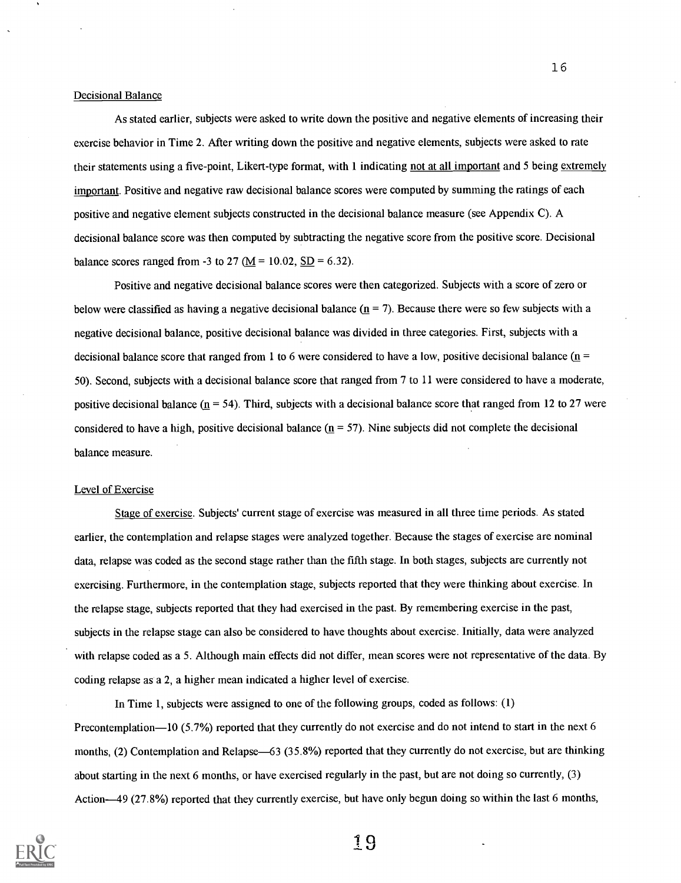### Decisional Balance

As stated earlier, subjects were asked to write down the positive and negative elements of increasing their exercise behavior in Time 2. After writing down the positive and negative elements, subjects were asked to rate their statements using a five-point, Likert-type format, with 1 indicating not at all important and 5 being extremely important. Positive and negative raw decisional balance scores were computed by summing the ratings of each positive and negative element subjects constructed in the decisional balance measure (see Appendix C). A decisional balance score was then computed by subtracting the negative score from the positive score. Decisional balance scores ranged from -3 to 27 ( $M = 10.02$ , SD = 6.32).

Positive and negative decisional balance scores were then categorized. Subjects with a score of zero or below were classified as having a negative decisional balance  $(n = 7)$ . Because there were so few subjects with a negative decisional balance, positive decisional balance was divided in three categories. First, subjects with a decisional balance score that ranged from 1 to 6 were considered to have a low, positive decisional balance ( $n =$ 50). Second, subjects with a decisional balance score that ranged from 7 to 11 were considered to have a moderate, positive decisional balance  $(n = 54)$ . Third, subjects with a decisional balance score that ranged from 12 to 27 were considered to have a high, positive decisional balance  $(n = 57)$ . Nine subjects did not complete the decisional balance measure.

### Level of Exercise

Stage of exercise. Subjects' current stage of exercise was measured in all three time periods. As stated earlier, the contemplation and relapse stages were analyzed together. Because the stages of exercise are nominal data, relapse was coded as the second stage rather than the fifth stage. In both stages, subjects are currently not exercising. Furthermore, in the contemplation stage, subjects reported that they were thinking about exercise. In the relapse stage, subjects reported that they had exercised in the past. By remembering exercise in the past, subjects in the relapse stage can also be considered to have thoughts about exercise. Initially, data were analyzed with relapse coded as a 5. Although main effects did not differ, mean scores were not representative of the data. By coding relapse as a 2, a higher mean indicated a higher level of exercise.

In Time 1, subjects were assigned to one of the following groups, coded as follows: (1) Precontemplation-10 (5.7%) reported that they currently do not exercise and do not intend to start in the next 6 months, (2) Contemplation and Relapse—63 (35.8%) reported that they currently do not exercise, but are thinking about starting in the next 6 months, or have exercised regularly in the past, but are not doing so currently, (3) Action-49 (27.8%) reported that they currently exercise, but have only begun doing so within the last 6 months,



19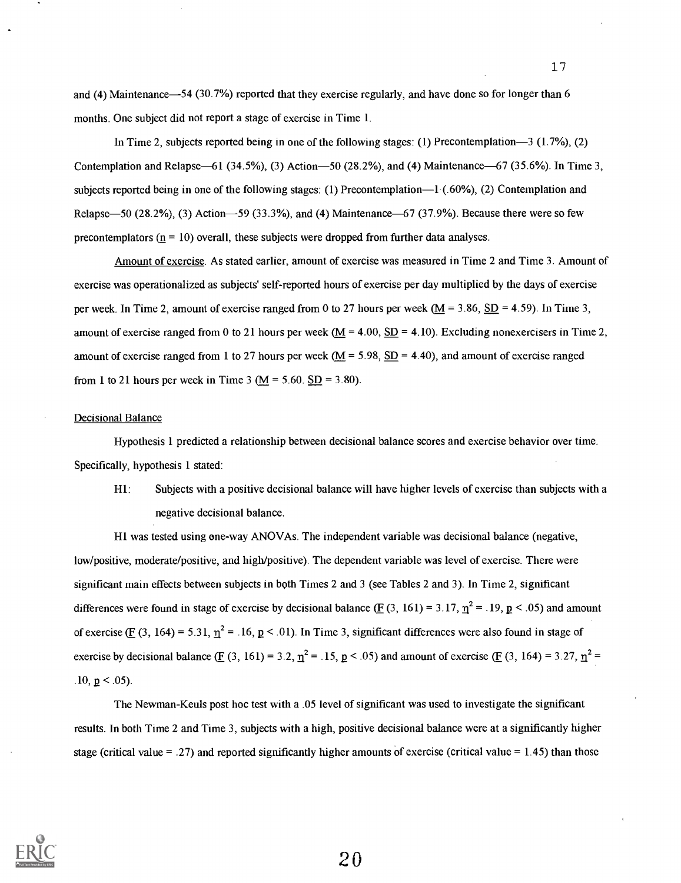and (4) Maintenance-54 (30.7%) reported that they exercise regularly, and have done so for longer than 6 months. One subject did not report a stage of exercise in Time 1.

In Time 2, subjects reported being in one of the following stages: (1) Precontemplation-3 (1.7%), (2) Contemplation and Relapse-61 (34.5%), (3) Action-50 (28.2%), and (4) Maintenance-67 (35.6%). In Time 3, subjects reported being in one of the following stages: (1) Precontemplation—1 (.60%), (2) Contemplation and Relapse-50 (28.2%), (3) Action-59 (33.3%), and (4) Maintenance-67 (37.9%). Because there were so few precontemplators  $(n = 10)$  overall, these subjects were dropped from further data analyses.

Amount of exercise. As stated earlier, amount of exercise was measured in Time 2 and Time 3. Amount of exercise was operationalized as subjects' self-reported hours of exercise per day multiplied by the days of exercise per week. In Time 2, amount of exercise ranged from 0 to 27 hours per week  $(M = 3.86, SD = 4.59)$ . In Time 3, amount of exercise ranged from 0 to 21 hours per week  $(M = 4.00, SD = 4.10)$ . Excluding nonexercisers in Time 2, amount of exercise ranged from 1 to 27 hours per week ( $M = 5.98$ , SD = 4.40), and amount of exercise ranged from 1 to 21 hours per week in Time 3 ( $M = 5.60$ . SD = 3.80).

### Decisional Balance

Hypothesis 1 predicted a relationship between decisional balance scores and exercise behavior over time. Specifically, hypothesis 1 stated:

HI: Subjects with a positive decisional balance will have higher levels of exercise than subjects with a negative decisional balance.

HI was tested using one-way ANOVAs. The independent variable was decisional balance (negative, low/positive, moderate/positive, and high/positive). The dependent variable was level of exercise. There were significant main effects between subjects in both Times 2 and 3 (see Tables 2 and 3). In Time 2, significant differences were found in stage of exercise by decisional balance ( $E(3, 161) = 3.17$ ,  $\eta^2 = .19$ ,  $p < .05$ ) and amount of exercise ( $F(3, 164) = 5.31$ ,  $n^2 = .16$ ,  $p < .01$ ). In Time 3, significant differences were also found in stage of exercise by decisional balance ( $E(3, 161) = 3.2$ ,  $\eta^2 = .15$ ,  $p < .05$ ) and amount of exercise ( $E(3, 164) = 3.27$ ,  $\eta^2 =$ .10,  $p < .05$ ).

The Newman-Keuls post hoc test with a .05 level of significant was used to investigate the significant results. In both Time 2 and Time 3, subjects with a high, positive decisional balance were at a significantly higher stage (critical value = .27) and reported significantly higher amounts of exercise (critical value = 1.45) than those



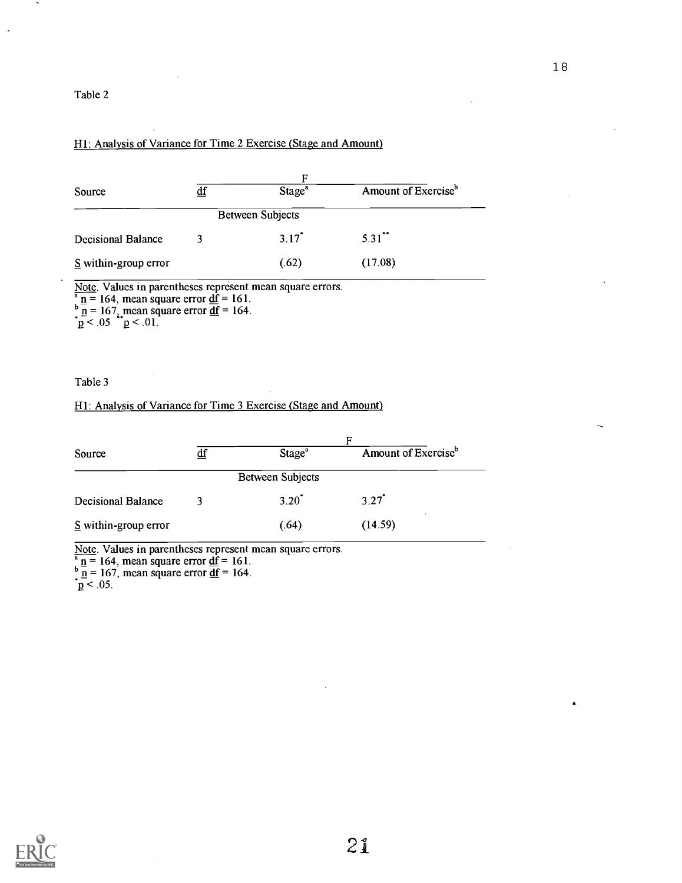### Table 2

### HI: Analysis of Variance for Time 2 Exercise (Stage and Amount)

|                           |                           | F                       |                                 |
|---------------------------|---------------------------|-------------------------|---------------------------------|
| Source                    | $\underline{\mathrm{df}}$ | Stage <sup>a</sup>      | Amount of Exercise <sup>b</sup> |
|                           |                           | <b>Between Subjects</b> |                                 |
| <b>Decisional Balance</b> | 3                         | $3.17$ <sup>*</sup>     | $5.31$ <sup>**</sup>            |
| $S$ within-group error    |                           | (.62)                   | (17.08)                         |

Note. Values in parentheses represent mean square errors.  $\frac{\text{a}}{\text{p}}$  n = 164, mean square error <u>df</u> = 161.<br> $\frac{\text{b}}{\text{p}}$  n = 167<sub>4</sub> mean square error <u>df</u> = 164.  $p < 0.05$  p  $< 0.01$ .

### Table 3

### HI: Analysis of Variance for Time 3 Exercise (Stage and Amount)

| Source                    | $\underline{\mathrm{df}}$ | Stage <sup>a</sup>      | Amount of Exercise <sup>b</sup> |
|---------------------------|---------------------------|-------------------------|---------------------------------|
|                           |                           | <b>Between Subjects</b> |                                 |
| <b>Decisional Balance</b> |                           | $3.20^{\degree}$        | $3.27$ <sup>*</sup>             |
| $S$ within-group error    |                           | (.64)                   | (14.59)                         |

Note. Values in parentheses represent mean square errors.<br><sup>a</sup> n = 164, mean square error <u>df</u> = 161.<br><sup>b</sup> n = 167, mean square error <u>df</u> = 164.

 $\underline{\mathbf{p}}$  < .05.

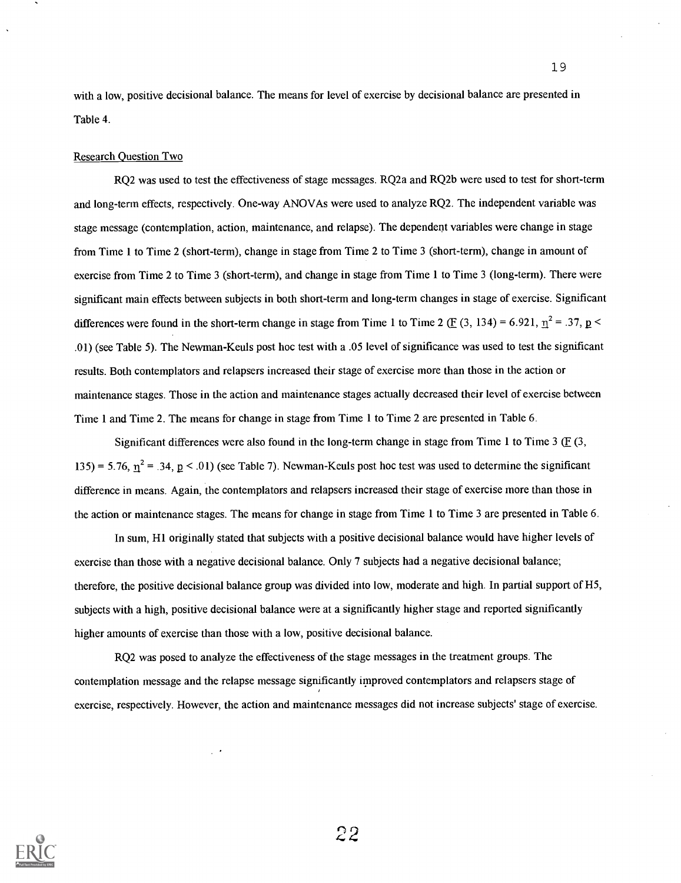with a low, positive decisional balance. The means for level of exercise by decisional balance are presented in Table 4.

#### Research Question Two

RQ2 was used to test the effectiveness of stage messages. RQ2a and RQ2b were used to test for short-term and long -teen effects, respectively. One-way ANOVAs were used to analyze RQ2. The independent variable was stage message (contemplation, action, maintenance, and relapse). The dependent variables were change in stage from Time 1 to Time 2 (short-term), change in stage from Time 2 to Time 3 (short-term), change in amount of exercise from Time 2 to Time 3 (short-term), and change in stage from Time 1 to Time 3 (long-term). There were significant main effects between subjects in both short-term and long-term changes in stage of exercise. Significant differences were found in the short-term change in stage from Time 1 to Time 2 ( $E(3, 134) = 6.921$ ,  $\eta^2 = .37$ ,  $p <$ .01) (see Table 5). The Newman-Keuls post hoc test with a .05 level of significance was used to test the significant results. Both contemplators and relapsers increased their stage of exercise more than those in the action or maintenance stages. Those in the action and maintenance stages actually decreased their level of exercise between Time 1 and Time 2. The means for change in stage from Time 1 to Time 2 are presented in Table 6.

Significant differences were also found in the long-term change in stage from Time 1 to Time 3  $(E(3, \theta))$ 135) = 5.76,  $\eta^2$  = .34, p < .01) (see Table 7). Newman-Keuls post hoc test was used to determine the significant difference in means. Again, the contemplators and relapsers increased their stage of exercise more than those in the action or maintenance stages. The means for change in stage from Time 1 to Time 3 are presented in Table 6.

In sum, HI originally stated that subjects with a positive decisional balance would have higher levels of exercise than those with a negative decisional balance. Only 7 subjects had a negative decisional balance; therefore, the positive decisional balance group was divided into low, moderate and high. In partial support of H5, subjects with a high, positive decisional balance were at a significantly higher stage and reported significantly higher amounts of exercise than those with a low, positive decisional balance.

RQ2 was posed to analyze the effectiveness of the stage messages in the treatment groups. The contemplation message and the relapse message significantly improved contemplators and relapsers stage of exercise, respectively. However, the action and maintenance messages did not increase subjects' stage of exercise.

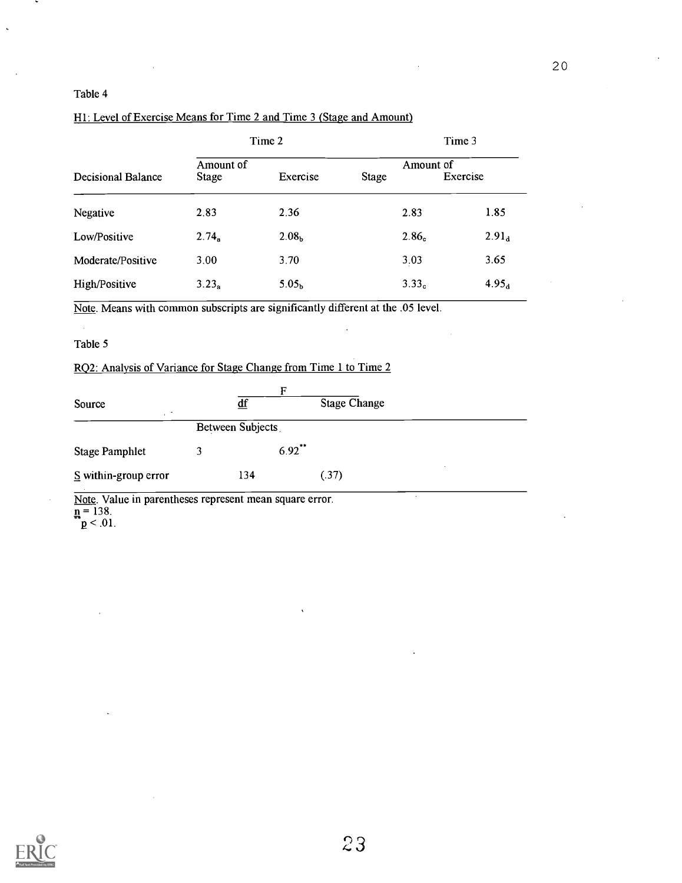### Table 4

## Hl: Level of Exercise Means for Time 2 and Time 3 (Stage and Amount)

|                           |                           | Time 2            |              |                   | Time 3            |
|---------------------------|---------------------------|-------------------|--------------|-------------------|-------------------|
| <b>Decisional Balance</b> | Amount of<br><b>Stage</b> | Exercise          | <b>Stage</b> | Amount of         | Exercise          |
| Negative                  | 2.83                      | 2.36              |              | 2.83              | 1.85              |
| Low/Positive              | $2.74_a$                  | 2.08 <sub>b</sub> |              | 2.86 <sub>c</sub> | 2.91 <sub>d</sub> |
| Moderate/Positive         | 3.00                      | 3.70              |              | 3.03              | 3.65              |
| High/Positive             | $3.23_a$                  | 5.05 <sub>b</sub> |              | 3.33 <sub>c</sub> | 4.95 <sub>d</sub> |

Note. Means with common subscripts are significantly different at the .05 level.

### Table 5

## RQ2: Analysis of Variance for Stage Change from Time 1 to Time 2

| $\underline{df}$<br>Between Subjects |           | <b>Stage Change</b> |  |
|--------------------------------------|-----------|---------------------|--|
|                                      |           |                     |  |
|                                      |           |                     |  |
|                                      | $6.92$ ** |                     |  |
| 134                                  |           | (.37)               |  |
|                                      |           |                     |  |

Note. Value in parentheses represent mean square error.  $n = 138$ .

 $\mathtt{p}$  < .01.

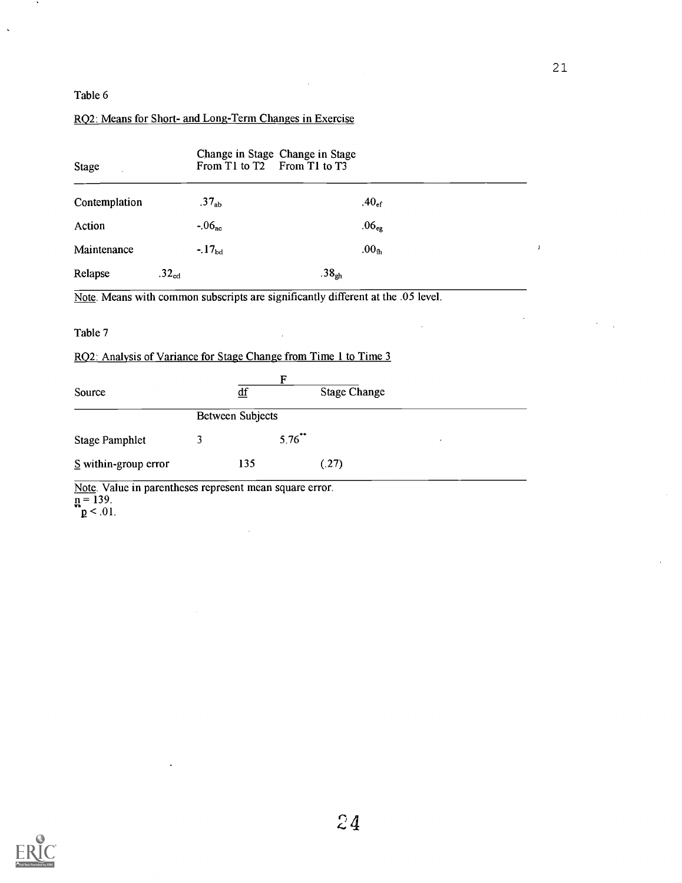21

 $\mathcal{L}^{\text{max}}$ 

 $\ddot{\phantom{a}}$ 

# Table 6

 $\sim$ 

 $\bar{\mathcal{L}}$ 

# RQ2: Means for Short- and Long-Term Changes in Exercise

| <b>Stage</b>                                                     | From T1 to T2     | Change in Stage Change in Stage | From T1 to T3                                                                    |           |
|------------------------------------------------------------------|-------------------|---------------------------------|----------------------------------------------------------------------------------|-----------|
| Contemplation                                                    | .37 <sub>ab</sub> |                                 | $.40_{\text{ef}}$                                                                |           |
| Action                                                           | $-0.06_{\rm ac}$  |                                 | .06 <sub>eg</sub>                                                                |           |
| Maintenance                                                      | $-17_{bd}$        |                                 | .00 <sub>th</sub>                                                                | $\lambda$ |
| Relapse                                                          | $.32_{cd}$        |                                 | .38 <sub>eh</sub>                                                                |           |
|                                                                  |                   |                                 | Note. Means with common subscripts are significantly different at the .05 level. |           |
| Table 7                                                          |                   |                                 |                                                                                  |           |
| RQ2: Analysis of Variance for Stage Change from Time 1 to Time 3 |                   |                                 |                                                                                  |           |
| Source                                                           |                   | F<br>$\underline{df}$           | <b>Stage Change</b>                                                              |           |
|                                                                  |                   | <b>Between Subjects</b>         |                                                                                  |           |
| <b>Stage Pamphlet</b>                                            | 3                 | $5.76$ **                       |                                                                                  |           |
| $S$ within-group error                                           |                   | 135                             | (.27)                                                                            |           |
| Note. Value in parentheses represent mean square error.          |                   |                                 |                                                                                  |           |

 $\bar{z}$ 

 $\bar{\mathcal{A}}$ 

 $n = 139$ .

 $p < .01$ .

 $\ddot{\phantom{a}}$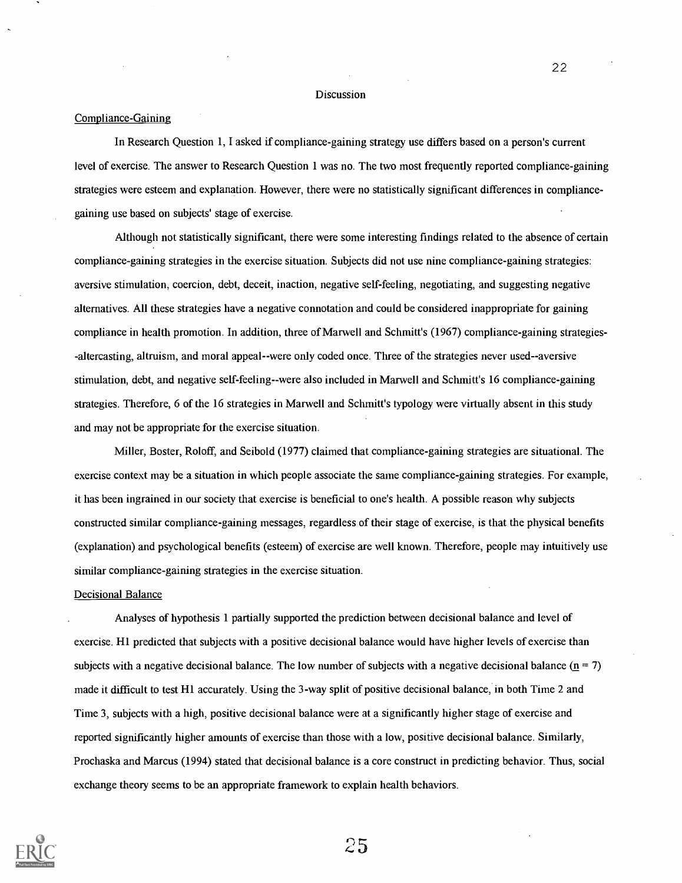#### Discussion

### Compliance-Gaining

In Research Question 1, I asked if compliance-gaining strategy use differs based on a person's current level of exercise. The answer to Research Question 1 was no. The two most frequently reported compliance-gaining strategies were esteem and explanation. However, there were no statistically significant differences in compliancegaining use based on subjects' stage of exercise.

Although not statistically significant, there were some interesting findings related to the absence of certain compliance-gaining strategies in the exercise situation. Subjects did not use nine compliance-gaining strategies: aversive stimulation, coercion, debt, deceit, inaction, negative self-feeling, negotiating, and suggesting negative alternatives. All these strategies have a negative connotation and could be considered inappropriate for gaining compliance in health promotion. In addition, three of Marwell and Schmitt's (1967) compliance-gaining strategies- -altercasting, altruism, and moral appeal--were only coded once. Three of the strategies never used--aversive stimulation, debt, and negative self-feeling--were also included in Marwell and Schmitt's <sup>16</sup> compliance-gaining strategies. Therefore, 6 of the 16 strategies in Marwell and Schmitt's typology were virtually absent in this study and may not be appropriate for the exercise situation.

Miller, Boster, Roloff, and Seibold (1977) claimed that compliance-gaining strategies are situational. The exercise context may be a situation in which people associate the same compliance-gaining strategies. For example, it has been ingrained in our society that exercise is beneficial to one's health. A possible reason why subjects constructed similar compliance-gaining messages, regardless of their stage of exercise, is that the physical benefits (explanation) and psychological benefits (esteem) of exercise are well known. Therefore, people may intuitively use similar compliance-gaining strategies in the exercise situation.

### Decisional Balance

Analyses of hypothesis 1 partially supported the prediction between decisional balance and level of exercise. H1 predicted that subjects with a positive decisional balance would have higher levels of exercise than subjects with a negative decisional balance. The low number of subjects with a negative decisional balance ( $n = 7$ ) made it difficult to test H1 accurately. Using the 3-way split of positive decisional balance, in both Time 2 and Time 3, subjects with a high, positive decisional balance were at a significantly higher stage of exercise and reported significantly higher amounts of exercise than those with a low, positive decisional balance. Similarly, Prochaska and Marcus (1994) stated that decisional balance is a core construct in predicting behavior. Thus, social exchange theory seems to be an appropriate framework to explain health behaviors.



25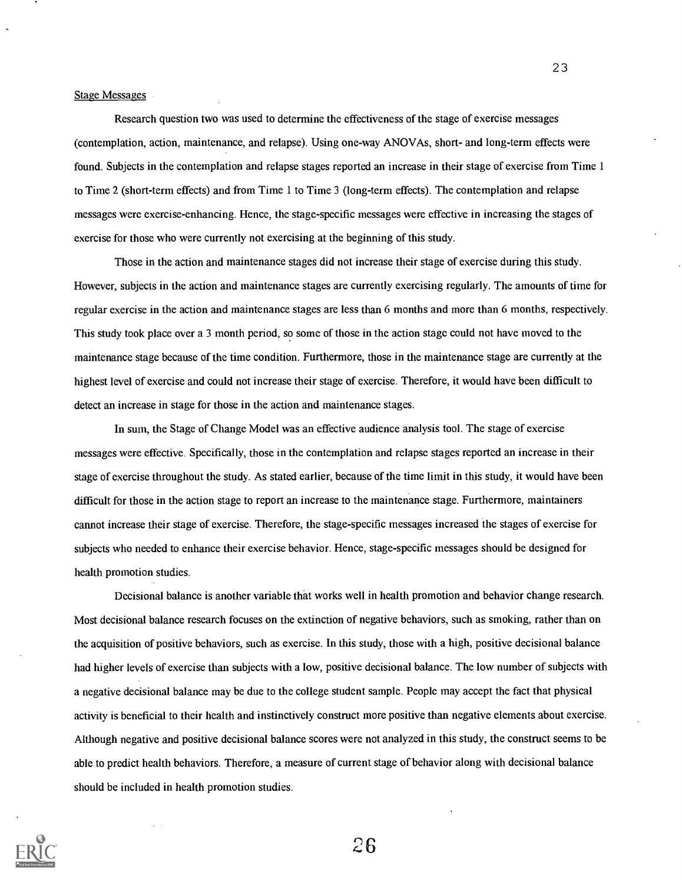Stage Messages

Research question two was used to determine the effectiveness of the stage of exercise messages (contemplation, action, maintenance, and relapse). Using one-way ANOVAs, short- and long-term effects were found. Subjects in the contemplation and relapse stages reported an increase in their stage of exercise from Time 1 to Time 2 (short-term effects) and from Time 1 to Time 3 (long-term effects). The contemplation and relapse messages were exercise-enhancing. Hence, the stage-specific messages were effective in increasing the stages of exercise for those who were currently not exercising at the beginning of this study.

Those in the action and maintenance stages did not increase their stage of exercise during this study. However, subjects in the action and maintenance stages are currently exercising regularly. The amounts of time for regular exercise in the action and maintenance stages are less than 6 months and more than 6 months, respectively. This study took place over a 3 month period, so some of those in the action stage could not have moved to the maintenance stage because of the time condition. Furthermore, those in the maintenance stage are currently at the highest level of exercise and could not increase their stage of exercise. Therefore, it would have been difficult to detect an increase in stage for those in the action and maintenance stages.

In sum, the Stage of Change Model was an effective audience analysis tool. The stage of exercise messages were effective. Specifically, those in the contemplation and relapse stages reported an increase in their stage of exercise throughout the study. As stated earlier, because of the time limit in this study, it would have been difficult for those in the action stage to report an increase to the maintenance stage. Furthermore, maintainers cannot increase their stage of exercise. Therefore, the stage-specific messages increased the stages of exercise for subjects who needed to enhance their exercise behavior. Hence, stage-specific messages should be designed for health promotion studies.

Decisional balance is another variable that works well in health promotion and behavior change research. Most decisional balance research focuses on the extinction of negative behaviors, such as smoking, rather than on the acquisition of positive behaviors, such as exercise. In this study, those with a high, positive decisional balance had higher levels of exercise than subjects with a low, positive decisional balance. The low number of subjects with a negative decisional balance may be due to the college student sample. People may accept the fact that physical activity is beneficial to their health and instinctively construct more positive than negative elements about exercise. Although negative and positive decisional balance scores were not analyzed in this study, the construct seems to be able to predict health behaviors. Therefore, a measure of current stage of behavior along with decisional balance should be included in health promotion studies.



26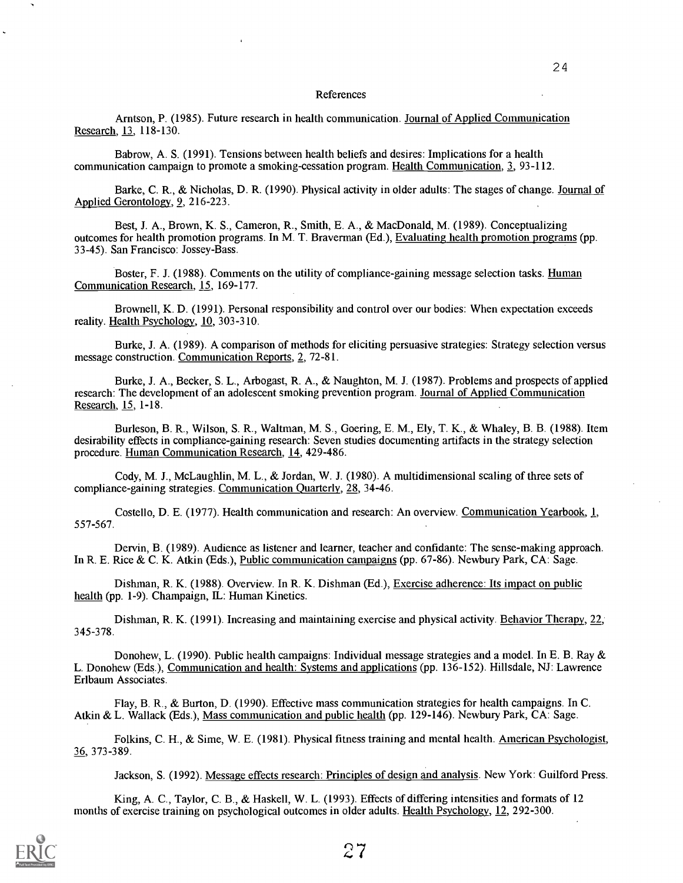#### References

Arntson, P. (1985). Future research in health communication. Journal of Applied Communication Research, 13, 118-130.

Babrow, A. S. (1991). Tensions between health beliefs and desires: Implications for a health communication campaign to promote a smoking-cessation program. Health Communication, 3, 93-112.

Barke, C. R., & Nicholas, D. R. (1990). Physical activity in older adults: The stages of change. Journal of Applied Gerontology, 9, 216-223.

Best, J. A., Brown, K. S., Cameron, R., Smith, E. A., & MacDonald, M. (1989). Conceptualizing outcomes for health promotion programs. In M. T. Braverman (Ed.), Evaluating health promotion programs (pp. 33-45). San Francisco: Jossey-Bass.

Boster, F. J. (1988). Comments on the utility of compliance-gaining message selection tasks. Human Communication Research, 15, 169-177.

Brownell, K. D. (1991). Personal responsibility and control over our bodies: When expectation exceeds reality. Health Psychology, 10, 303-310.

Burke, J. A. (1989). A comparison of methods for eliciting persuasive strategies: Strategy selection versus message construction. Communication Reports, 2, 72-81.

Burke, J. A., Becker, S. L., Arbogast, R. A., & Naughton, M. J. (1987). Problems and prospects of applied research: The development of an adolescent smoking prevention program. Journal of Applied Communication Research, 15, 1-18.

Burleson, B. R., Wilson, S. R., Waltman, M. S., Goering, E. M., Ely, T. K., & Whaley, B. B. (1988). Item desirability effects in compliance-gaining research: Seven studies documenting artifacts in the strategy selection procedure. Human Communication Research, 14, 429-486.

Cody, M. J., McLaughlin, M. L., & Jordan, W. J. (1980). A multidimensional scaling of three sets of compliance-gaining strategies. Communication Quarterly, 28, 34-46.

Costello, D. E. (1977). Health communication and research: An overview. Communication Yearbook, 1, 557-567.

Dervin, B. (1989). Audience as listener and learner, teacher and confidante: The sense-making approach. In R. E. Rice & C. K. Atkin (Eds.), Public communication campaigns (pp. 67-86). Newbury Park, CA: Sage.

Dishman, R. K. (1988). Overview. In R. K. Dishman (Ed.), Exercise adherence: Its impact on public health (pp. 1-9). Champaign, IL: Human Kinetics.

Dishman, R. K. (1991). Increasing and maintaining exercise and physical activity. Behavior Therapy, 22, 345-378.

Donohew, L. (1990). Public health campaigns: Individual message strategies and a model. In E. B. Ray & L. Donohew (Eds.), Communication and health: Systems and applications (pp. 136-152). Hillsdale, NJ: Lawrence Erlbaum Associates.

Flay, B. R., & Burton, D. (1990). Effective mass communication strategies for health campaigns. In C. Atkin & L. Wallack (Eds.), Mass communication and public health (pp. 129-146). Newbury Park, CA: Sage.

Folkins, C. H., & Sime, W. E. (1981). Physical fitness training and mental health. American Psychologist, 36, 373-389.

Jackson, S. (1992). Message effects research: Principles of design and analysis. New York: Guilford Press.

King, A. C., Taylor, C. B., & Haskell, W. L. (1993). Effects of differing intensities and formats of 12 months of exercise training on psychological outcomes in older adults. Health Psychology, 12, 292-300.

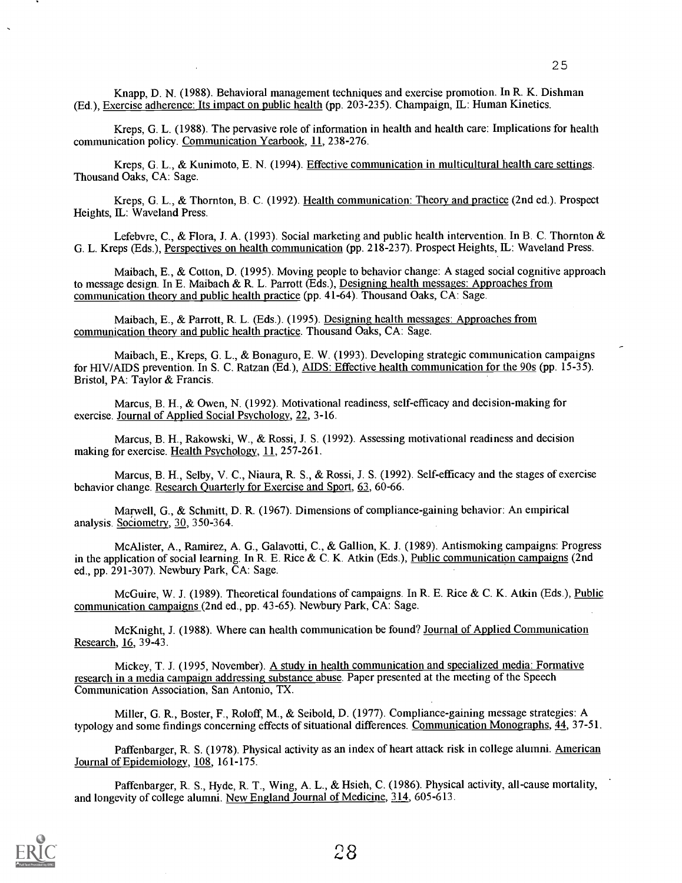Kreps, G. L. (1988). The pervasive role of information in health and health care: Implications for health communication policy. Communication Yearbook, 11, 238-276.

Kreps, G. L., & Kunimoto, E. N. (1994). Effective communication in multicultural health care settings. Thousand Oaks, CA: Sage.

Kreps, G. L., & Thornton, B. C. (1992). Health communication: Theory and practice (2nd ed.). Prospect Heights, IL: Waveland Press.

Lefebvre, C., & Flora, J. A. (1993). Social marketing and public health intervention. In B. C. Thornton & G. L. Kreps (Eds.), Perspectives on health communication (pp. 218-237). Prospect Heights, IL: Waveland Press.

Maibach, E., & Cotton, D. (1995). Moving people to behavior change: A staged social cognitive approach to message design. In E. Maibach & R. L. Parrott (Eds.), <u>Designing health messages: Approaches from</u> communication theory and public health practice (pp. 41-64). Thousand Oaks, CA: Sage.

Maibach, E., & Parrott, R. L. (Eds.). (1995). Designing health messages: Approaches from communication theory and public health practice. Thousand Oaks, CA: Sage.

Maibach, E., Kreps, G. L., & Bonaguro, E. W. (1993). Developing strategic communication campaigns for HIV /AIDS prevention. In S. C. Ratzan (Ed.), AIDS: Effective health communication for the 90s (pp. 15-35). Bristol, PA: Taylor & Francis.

Marcus, B. H., & Owen, N. (1992). Motivational readiness, self-efficacy and decision-making for exercise. Journal of Applied Social Psychology, 22, 3-16.

Marcus, B. H., Rakowski, W., & Rossi, J. S. (1992). Assessing motivational readiness and decision making for exercise. Health Psychology, 11, 257-261.

Marcus, B. H., Selby, V. C., Niaura, R. S., & Rossi, J. S. (1992). Self-efficacy and the stages of exercise behavior change. Research Quarterly for Exercise and Sport, 63, 60-66.

Marwell, G., & Schmitt, D. R. (1967). Dimensions of compliance-gaining behavior: An empirical analysis. Sociometry, 30, 350-364.

McAlister, A., Ramirez, A. G., Galavotti, C., & Gal lion, K. J. (1989). Antismoking campaigns: Progress in the application of social learning. In R. E. Rice & C. K. Atkin (Eds.), Public communication campaigns (2nd ed., pp. 291-307). Newbury Park, CA: Sage.

McGuire, W. J. (1989). Theoretical foundations of campaigns. In R. E. Rice & C. K. Atkin (Eds.), Public communication campaigns (2nd ed., pp. 43-65). Newbury Park, CA: Sage.

McKnight, J. (1988). Where can health communication be found? Journal of Applied Communication Research, 16, 39-43.

Mickey, T. J. (1995, November). A study in health communication and specialized media: Formative research in a media campaign addressing substance abuse. Paper presented at the meeting of the Speech Communication Association, San Antonio, TX.

Miller, G. R., Boster, F., Roloff, M., & Seibold, D. (1977). Compliance-gaining message strategies: A typology and some findings concerning effects of situational differences. Communication Monographs, 44, 37-51.

Paffenbarger, R. S. (1978). Physical activity as an index of heart attack risk in college alumni. American Journal of Epidemiology, 108, 161-175.

Paffenbarger, R. S., Hyde, R. T., Wing, A. L., & Hsieh, C. (1986). Physical activity, all-cause mortality, and longevity of college alumni. New England Journal of Medicine, 314, 605-613.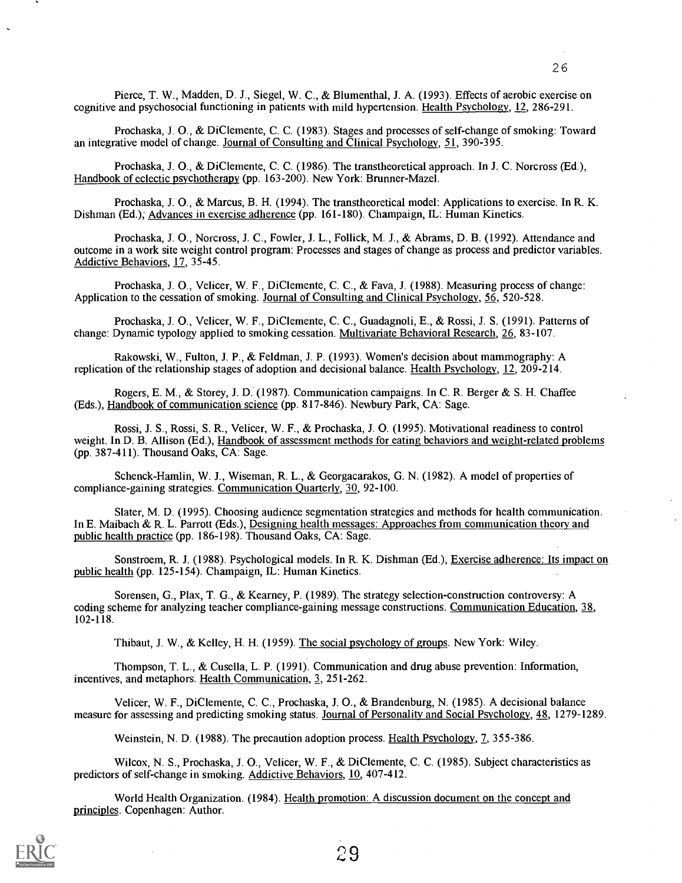Prochaska, J. O., & DiClemente, C. C. (1983). Stages and processes of self-change of smoking: Toward an integrative model of change. Journal of Consulting and Clinical Psychology, 51, 390-395.

Prochaska, J. 0., & DiClemente, C. C. (1986). The transtheoretical approach. In J. C. Norcross (Ed.), Handbook of eclectic psychotherapy (pp. 163-200). New York: Brunner-Mazel.

Prochaska, J. 0., & Marcus, B. H. (1994). The transtheoretical model: Applications to exercise. In R. K. Dishman (Ed.); Advances in exercise adherence (pp. 161-180). Champaign, IL: Human Kinetics.

Prochaska, J. 0., Norcross, J. C., Fowler, J. L., Follick, M. J., & Abrams, D. B. (1992). Attendance and outcome in a work site weight control program: Processes and stages of change as process and predictor variables. Addictive Behaviors, 17, 35-45.

Prochaska, J. 0., Velicer, W. F., DiClemente, C. C., & Fava, J. (1988). Measuring process of change: Application to the cessation of smoking. Journal of Consulting and Clinical Psychology, 56, 520-528.

Prochaska, J. 0., Velicer, W. F., DiClemente, C. C., Guadagnoli, E., & Rossi, J. S. (1991). Patterns of change: Dynamic typology applied to smoking cessation. Multivariate Behavioral Research, 26, 83-107.

Rakowski, W., Fulton, J. P., & Feldman, J. P. (1993). Women's decision about mammography: A replication of the relationship stages of adoption and decisional balance. Health Psychology, 12, 209-214.

Rogers, E. M., & Storey, J. D. (1987). Communication campaigns. In C. R. Berger & S. H. Chaffee (Eds.), Handbook of communication science (pp. 817-846). Newbury Park, CA: Sage.

Rossi, J. S., Rossi, S. R., Velicer, W. F., & Prochaska, J. 0. (1995). Motivational readiness to control weight. In D. B. Allison (Ed.), Handbook of assessment methods for eating behaviors and weight-related problems (pp. 387-411). Thousand Oaks, CA: Sage.

Schenck-Hamlin, W. J., Wiseman, R. L., & Georgacarakos, G. N. (1982). A model of properties of compliance-gaining strategies. Communication Quarterly, 30, 92-100.

Slater, M. D. (1995). Choosing audience segmentation strategies and methods for health communication. In E. Maibach & R. L. Parrott (Eds.), Designing health messages: Approaches from communication theory and public health practice (pp. 186-198). Thousand Oaks, CA: Sage.

Sonstroem, R. J. (1988). Psychological models. In R. K. Dishman (Ed.), Exercise adherence: Its impact on public health (pp. 125-154). Champaign, IL: Human Kinetics.

Sorensen, G., Plax, T. G., & Kearney, P. (1989). The strategy selection-construction controversy: A coding scheme for analyzing teacher compliance-gaining message constructions. Communication Education, 38, 102-118.

Thibaut, J. W., & Kelley, H. H. (1959). The social psychology of groups. New York: Wiley.

Thompson, T. L., & Cusella, L. P. (1991). Communication and drug abuse prevention: Information, incentives, and metaphors. Health Communication, 3, 251-262.

Velicer, W. F., DiClemente, C. C., Prochaska, J. 0., & Brandenburg, N. (1985). A decisional balance measure for assessing and predicting smoking status. Journal of Personality and Social Psychology, 48, 1279-1289.

Weinstein, N. D. (1988). The precaution adoption process. Health Psychology, 7, 355-386.

Wilcox, N. S., Prochaska, J. 0., Velicer, W. F., & DiClemente, C. C. (1985). Subject characteristics as predictors of self-change in smoking. Addictive Behaviors, 10, 407-412.

World Health Organization. (1984). Health promotion: A discussion document on the concept and principles. Copenhagen: Author.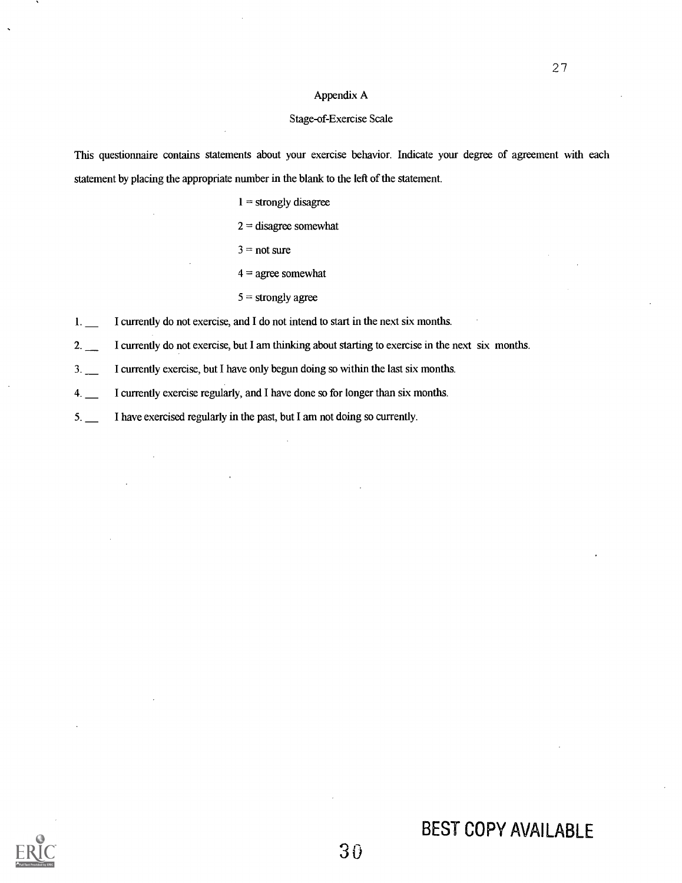### Appendix A

### Stage-of-Exercise Scale

This questionnaire contains statements about your exercise behavior. Indicate your degree of agreement with each statement by placing the appropriate number in the blank to the left of the statement

 $1 =$  strongly disagree

 $2 =$  disagree somewhat

 $3 = not sure$ 

 $4 =$  agree somewhat

 $5$  = strongly agree

1. I currently do not exercise, and I do not intend to start in the next six months.

2. I currently do not exercise, but I am thinking about starting to exercise in the next six months.

3. I currently exercise, but I have only begun doing so within the last six months.

4. I currently exercise regularly, and I have done so for longer than six months.

5. I have exercised regularly in the past, but I am not doing so currently.

# BEST COPY AVAILABLE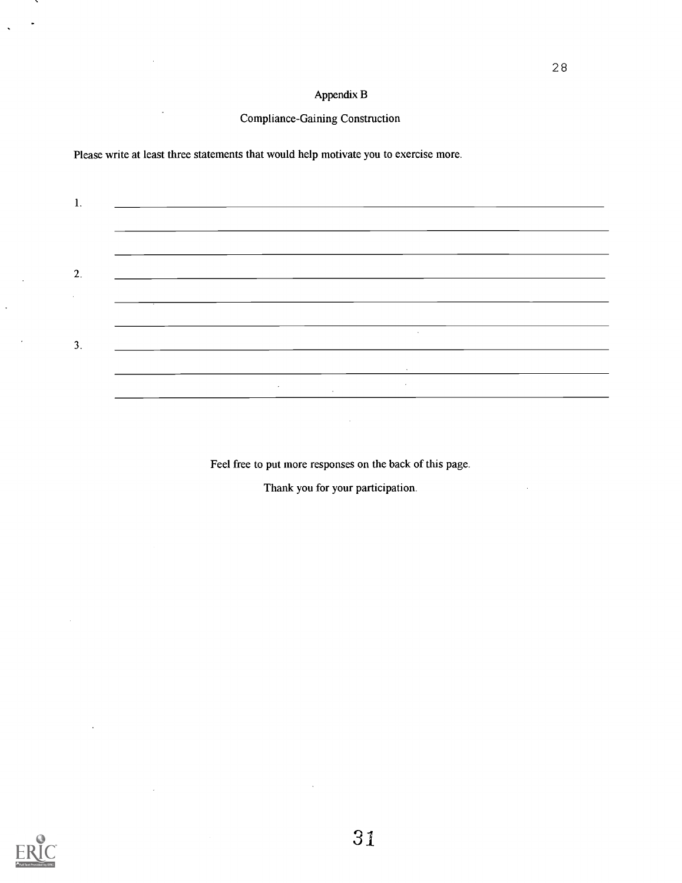# Appendix B

# Compliance-Gaining Construction

Please write at least three statements that would help motivate you to exercise more.

| ı. |  |        |        |                                                |  |
|----|--|--------|--------|------------------------------------------------|--|
|    |  |        |        |                                                |  |
|    |  |        |        |                                                |  |
| 2. |  |        |        |                                                |  |
|    |  |        |        |                                                |  |
|    |  |        |        |                                                |  |
|    |  |        |        | the control of the control of the con-         |  |
|    |  |        |        |                                                |  |
|    |  | $\sim$ |        | And the company of the<br><b>All Contracts</b> |  |
|    |  |        | $\sim$ |                                                |  |

Feel free to put more responses on the back of this page.

 $\bar{z}$ 

Thank you for your participation.



 $\ddot{\phantom{0}}$ 

÷.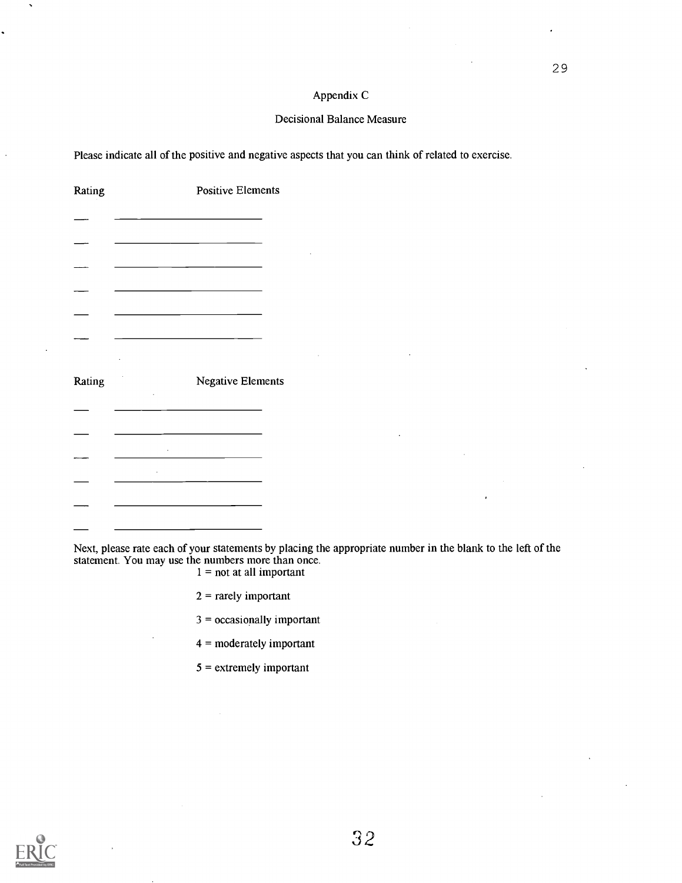### Appendix C

### Decisional Balance Measure

Please indicate all of the positive and negative aspects that you can think of related to exercise.

| Rating | <b>Positive Elements</b>                                    |  |
|--------|-------------------------------------------------------------|--|
|        |                                                             |  |
|        |                                                             |  |
|        |                                                             |  |
|        | the control of the control of the control of the control of |  |
|        |                                                             |  |
| Rating | <b>Negative Elements</b>                                    |  |
|        |                                                             |  |
|        |                                                             |  |
|        |                                                             |  |
|        |                                                             |  |
|        |                                                             |  |

Next, please rate each of your statements by placing the appropriate number in the blank to the left of the statement. You may use the numbers more than once.

 $1 =$  not at all important

- $2$  = rarely important
- 3 = occasionally important
- 4 = moderately important
- $5 =$  extremely important



 $\ddot{\phantom{a}}$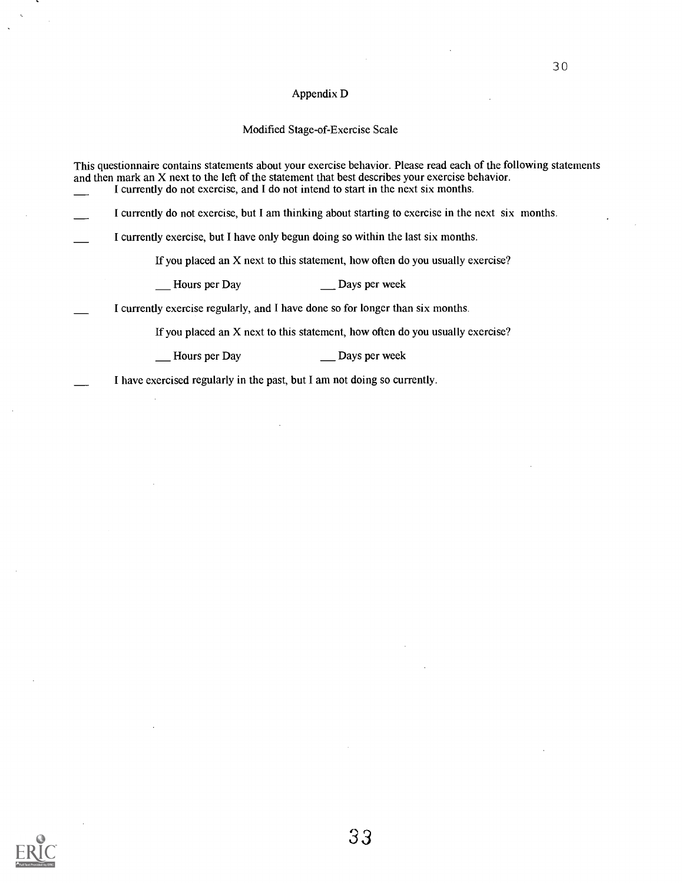### Appendix D

### Modified Stage-of-Exercise Scale

This questionnaire contains statements about your exercise behavior. Please read each of the following statements and then mark an X next to the left of the statement that best describes your exercise behavior. I currently do not exercise, and I do not intend to start in the next six months.

I currently do not exercise, but I am thinking about starting to exercise in the next six months.

I currently exercise, but I have only begun doing so within the last six months.

If you placed an X next to this statement, how often do you usually exercise?

Hours per Day Days per week

I currently exercise regularly, and I have done so for longer than six months.

If you placed an X next to this statement, how often do you usually exercise?

Hours per Day Days per week

I have exercised regularly in the past, but I am not doing so currently.

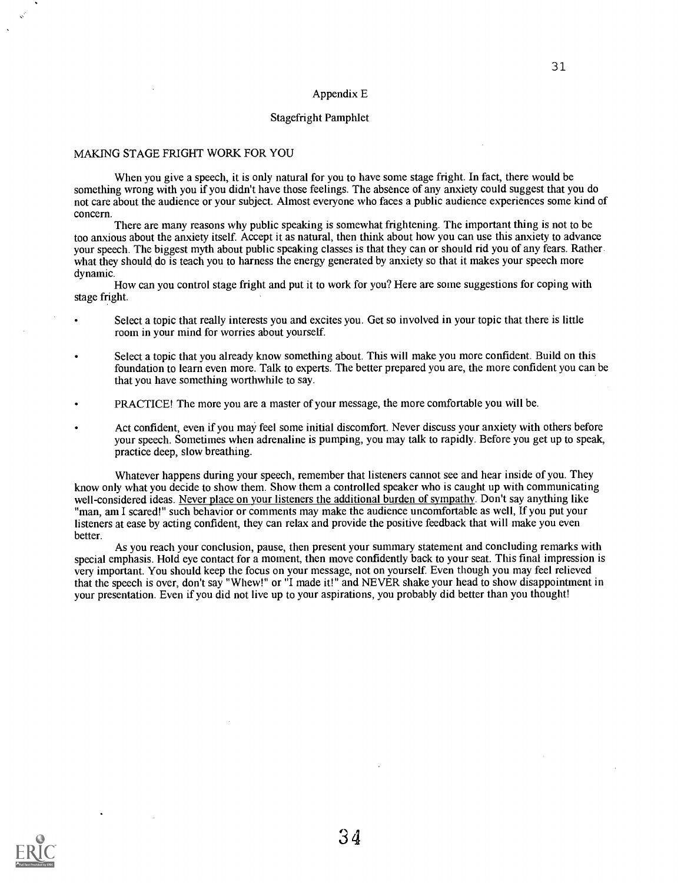#### Appendix E

#### Stagefright Pamphlet

#### MAKING STAGE FRIGHT WORK FOR YOU

When you give a speech, it is only natural for you to have some stage fright. In fact, there would be something wrong with you if you didn't have those feelings. The absence of any anxiety could suggest that you do not care about the audience or your subject. Almost everyone who faces a public audience experiences some kind of concern.

There are many reasons why public speaking is somewhat frightening. The important thing is not to be too anxious about the anxiety itself. Accept it as natural, then think about how you can use this anxiety to advance your speech. The biggest myth about public speaking classes is that they can or should rid you of any fears. Rather what they should do is teach you to harness the energy generated by anxiety so that it makes your speech more dynamic.

How can you control stage fright and put it to work for you? Here are some suggestions for coping with stage fright.

- Select a topic that really interests you and excites you. Get so involved in your topic that there is little room in your mind for worries about yourself.
- Select a topic that you already know something about. This will make you more confident. Build on this foundation to learn even more. Talk to experts. The better prepared you are, the more confident you can be that you have something worthwhile to say.
- PRACTICE! The more you are a master of your message, the more comfortable you will be.
- Act confident, even if you may feel some initial discomfort. Never discuss your anxiety with others before your speech. Sometimes when adrenaline is pumping, you may talk to rapidly. Before you get up to speak, practice deep, slow breathing.

Whatever happens during your speech, remember that listeners cannot see and hear inside of you. They know only what you decide to show them. Show them a controlled speaker who is caught up with communicating well-considered ideas. Never place on your listeners the additional burden of sympathy. Don't say anything like "man, am I scared!" such behavior or comments may make the audience uncomfortable as well, If you put your listeners at ease by acting confident, they can relax and provide the positive feedback that will make you even better.

As you reach your conclusion, pause, then present your summary statement and concluding remarks with special emphasis. Hold eye contact for a moment, then move confidently back to your seat. This final impression is very important. You should keep the focus on your message, not on yourself. Even though you may feel relieved that the speech is over, don't say "Whew!" or "I made it!" and NEVER shake your head to show disappointment in your presentation. Even if you did not live up to your aspirations, you probably did better than you thought!

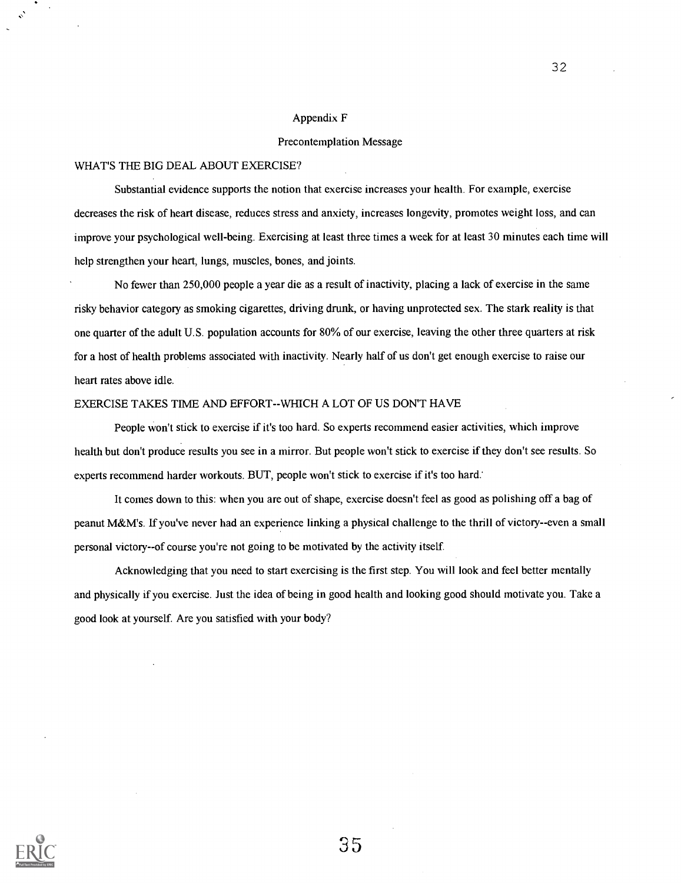### Appendix F

### Precontemplation Message

### WHAT'S THE BIG DEAL ABOUT EXERCISE?

Substantial evidence supports the notion that exercise increases your health. For example, exercise decreases the risk of heart disease, reduces stress and anxiety, increases longevity, promotes weight loss, and can improve your psychological well-being. Exercising at least three times a week for at least 30 minutes each time will help strengthen your heart, lungs, muscles, bones, and joints.

No fewer than 250,000 people a year die as a result of inactivity, placing a lack of exercise in the same risky behavior category as smoking cigarettes, driving drunk, or having unprotected sex. The stark reality is that one quarter of the adult U.S. population accounts for 80% of our exercise, leaving the other three quarters at risk for a host of health problems associated with inactivity. Nearly half of us don't get enough exercise to raise our heart rates above idle.

### EXERCISE TAKES TIME AND EFFORT--WHICH A LOT OF US DON'T HAVE

People won't stick to exercise if it's too hard. So experts recommend easier activities, which improve health but don't produce results you see in a mirror. But people won't stick to exercise if they don't see results. So experts recommend harder workouts. BUT, people won't stick to exercise if it's too hard:

It comes down to this: when you are out of shape, exercise doesn't feel as good as polishing off a bag of peanut M&M's. If you've never had an experience linking a physical challenge to the thrill of victory--even a small personal victory--of course you're not going to be motivated by the activity itself.

Acknowledging that you need to start exercising is the first step. You will look and feel better mentally and physically if you exercise. Just the idea of being in good health and looking good should motivate you. Take a good look at yourself. Are you satisfied with your body?



35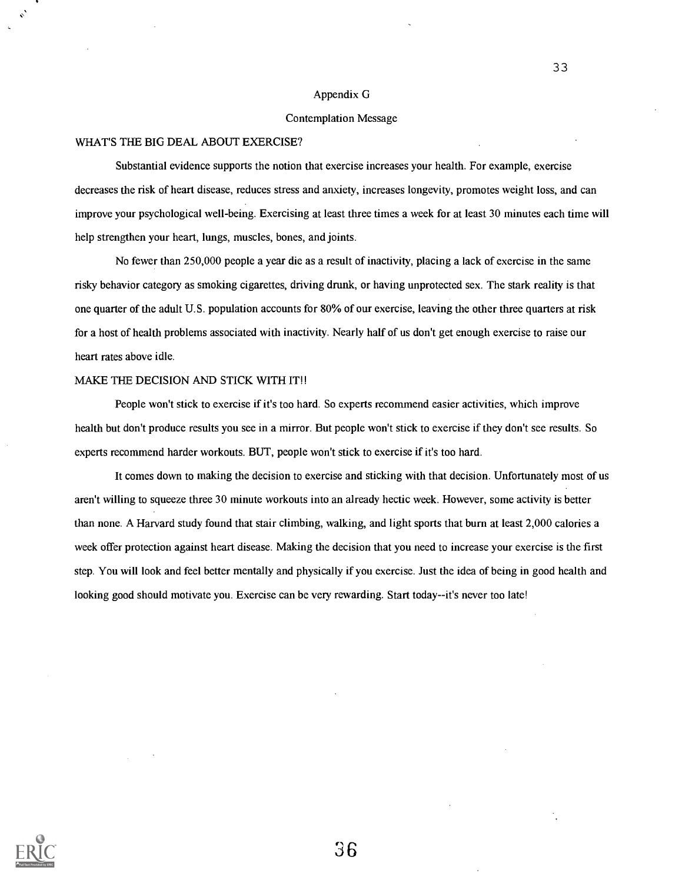#### Appendix G

#### Contemplation Message

#### WHAT'S THE BIG DEAL ABOUT EXERCISE?

Substantial evidence supports the notion that exercise increases your health. For example, exercise decreases the risk of heart disease, reduces stress and anxiety, increases longevity, promotes weight loss, and can improve your psychological well-being. Exercising at least three times a week for at least 30 minutes each time will help strengthen your heart, lungs, muscles, bones, and joints.

No fewer than 250,000 people a year die as a result of inactivity, placing a lack of exercise in the same risky behavior category as smoking cigarettes, driving drunk, or having unprotected sex. The stark reality is that one quarter of the adult U.S. population accounts for 80% of our exercise, leaving the other three quarters at risk for a host of health problems associated with inactivity. Nearly half of us don't get enough exercise to raise our heart rates above idle.

### MAKE THE DECISION AND STICK WITH IT!!

People won't stick to exercise if it's too hard. So experts recommend easier activities, which improve health but don't produce results you see in a mirror. But people won't stick to exercise if they don't see results. So experts recommend harder workouts. BUT, people won't stick to exercise if it's too hard.

It comes down to making the decision to exercise and sticking with that decision. Unfortunately most of us aren't willing to squeeze three 30 minute workouts into an already hectic week. However, some activity is better than none. A Harvard study found that stair climbing, walking, and light sports that burn at least 2,000 calories a week offer protection against heart disease. Making the decision that you need to increase your exercise is the first step. You will look and feel better mentally and physically if you exercise. Just the idea of being in good health and looking good should motivate you. Exercise can be very rewarding. Start today--it's never too late!

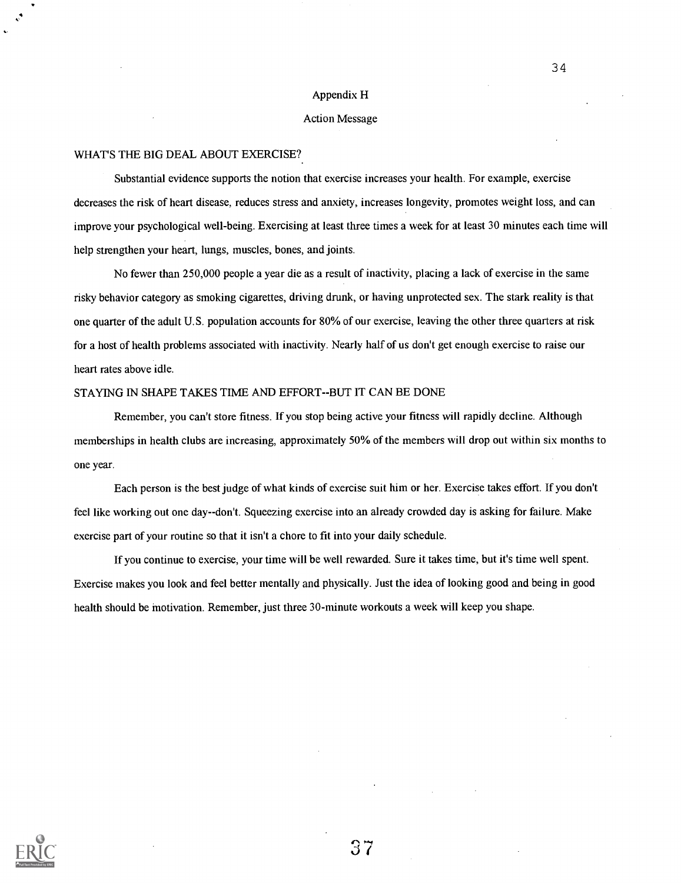#### Appendix H

### Action Message

#### WHAT'S THE BIG DEAL ABOUT EXERCISE?

Substantial evidence supports the notion that exercise increases your health. For example, exercise decreases the risk of heart disease, reduces stress and anxiety, increases longevity, promotes weight loss, and can improve your psychological well-being. Exercising at least three times a week for at least 30 minutes each time will help strengthen your heart, lungs, muscles, bones, and joints.

No fewer than 250,000 people a year die as a result of inactivity, placing a lack of exercise in the same risky behavior category as smoking cigarettes, driving drunk, or having unprotected sex. The stark reality is that one quarter of the adult U.S. population accounts for 80% of our exercise, leaving the other three quarters at risk for a host of health problems associated with inactivity. Nearly half of us don't get enough exercise to raise our heart rates above idle.

### STAYING IN SHAPE TAKES TIME AND EFFORT--BUT IT CAN BE DONE

Remember, you can't store fitness. If you stop being active your fitness will rapidly decline. Although memberships in health clubs are increasing, approximately 50% of the members will drop out within six months to one year.

Each person is the best judge of what kinds of exercise suit him or her. Exercise takes effort. If you don't feel like working out one day--don't. Squeezing exercise into an already crowded day is asking for failure. Make exercise part of your routine so that it isn't a chore to fit into your daily schedule.

If you continue to exercise, your time will be well rewarded. Sure it takes time, but it's time well spent. Exercise makes you look and feel better mentally and physically. Just the idea of looking good and being in good health should be motivation. Remember, just three 30-minute workouts a week will keep you shape.

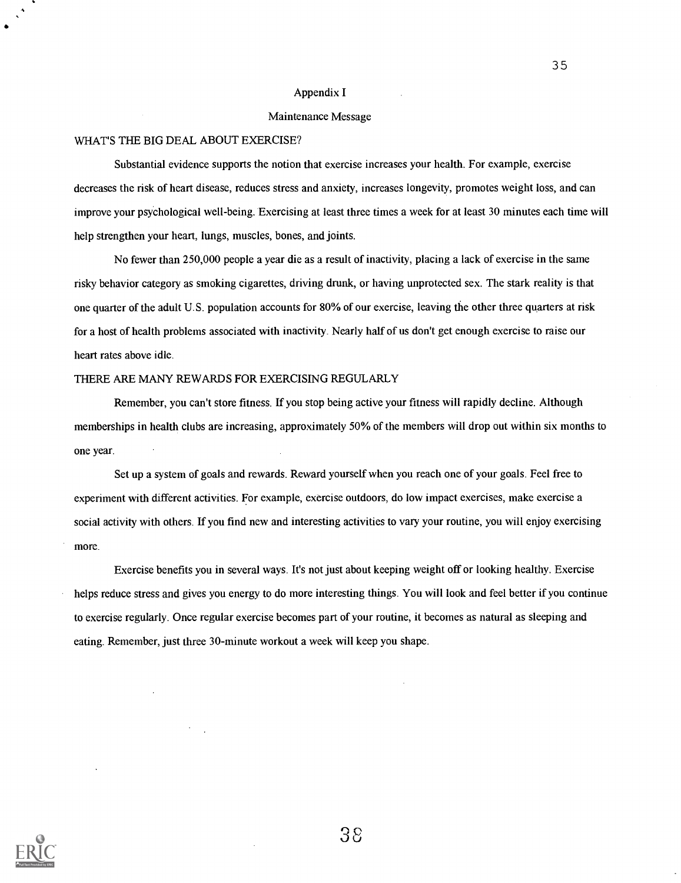#### Appendix I

### Maintenance Message

### WHAT'S THE BIG DEAL ABOUT EXERCISE?

Substantial evidence supports the notion that exercise increases your health. For example, exercise decreases the risk of heart disease, reduces stress and anxiety, increases longevity, promotes weight loss, and can improve your psychological well-being. Exercising at least three times a week for at least 30 minutes each time will help strengthen your heart, lungs, muscles, bones, and joints.

No fewer than 250,000 people a year die as a result of inactivity, placing a lack of exercise in the same risky behavior category as smoking cigarettes, driving drunk, or having unprotected sex. The stark reality is that one quarter of the adult U.S. population accounts for 80% of our exercise, leaving the other three quarters at risk for a host of health problems associated with inactivity. Nearly half of us don't get enough exercise to raise our heart rates above idle.

### THERE ARE MANY REWARDS FOR EXERCISING REGULARLY

Remember, you can't store fitness. If you stop being active your fitness will rapidly decline. Although memberships in health clubs are increasing, approximately 50% of the members will drop out within six months to one year.

Set up a system of goals and rewards. Reward yourself when you reach one of your goals. Feel free to experiment with different activities. For example, exercise outdoors, do low impact exercises, make exercise a social activity with others. If you find new and interesting activities to vary your routine, you will enjoy exercising more.

Exercise benefits you in several ways. It's not just about keeping weight off or looking healthy. Exercise helps reduce stress and gives you energy to do more interesting things. You will look and feel better if you continue to exercise regularly. Once regular exercise becomes part of your routine, it becomes as natural as sleeping and eating. Remember, just three 30-minute workout a week will keep you shape.

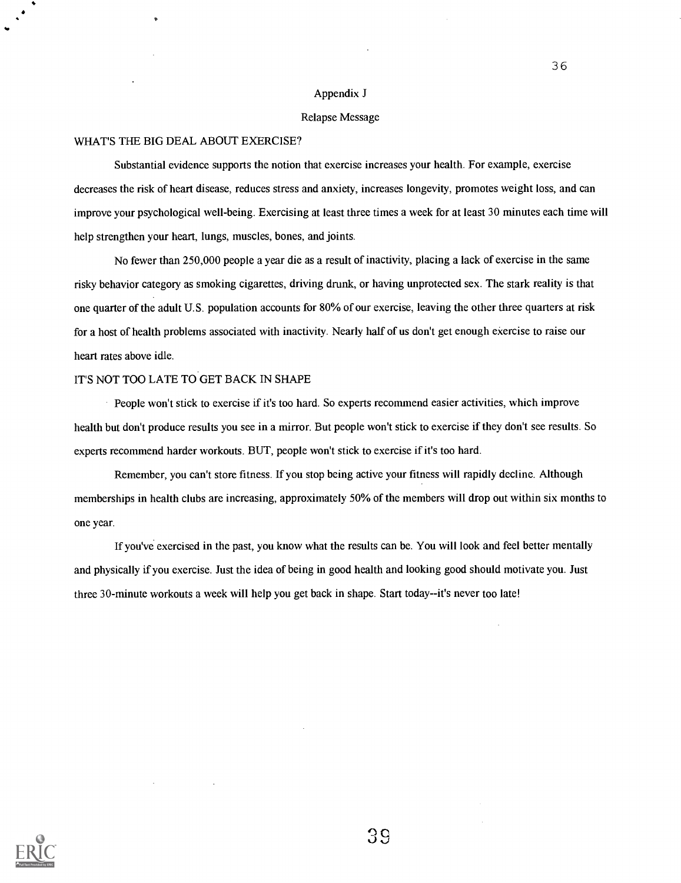### Appendix J

#### Relapse Message

### WHAT'S THE BIG DEAL ABOUT EXERCISE?

Substantial evidence supports the notion that exercise increases your health. For example, exercise decreases the risk of heart disease, reduces stress and anxiety, increases longevity, promotes weight loss, and can improve your psychological well-being. Exercising at least three times a week for at least 30 minutes each time will help strengthen your heart, lungs, muscles, bones, and joints.

No fewer than 250,000 people a year die as a result of inactivity, placing a lack of exercise in the same risky behavior category as smoking cigarettes, driving drunk, or having unprotected sex. The stark reality is that one quarter of the adult U.S. population accounts for 80% of our exercise, leaving the other three quarters at risk for a host of health problems associated with inactivity. Nearly half of us don't get enough exercise to raise our heart rates above idle.

### IT'S NOT TOO LATE TO GET BACK IN SHAPE

People won't stick to exercise if it's too hard. So experts recommend easier activities, which improve health but don't produce results you see in a mirror. But people won't stick to exercise if they don't see results. So experts recommend harder workouts. BUT, people won't stick to exercise if it's too hard.

Remember, you can't store fitness. If you stop being active your fitness will rapidly decline. Although memberships in health clubs are increasing, approximately 50% of the members will drop out within six months to one year.

If you've exercised in the past, you know what the results can be. You will look and feel better mentally and physically if you exercise. Just the idea of being in good health and looking good should motivate you. Just three 30-minute workouts a week will help you get back in shape. Start today--it's never too late!

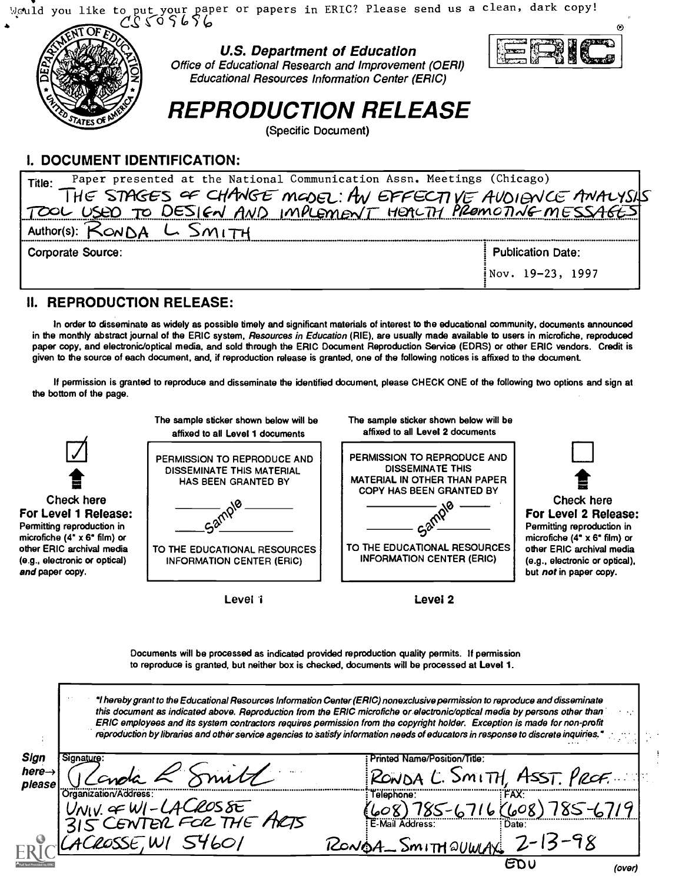would you like to put your paper or papers in ERIC? Please send us a clean, dark copy!

 $^{\circ}$ 



## I. DOCUMENT IDENTIFICATION:

| Paper presented at the National Communication Assn. Meetings (Chicago)<br>Title: |                          |
|----------------------------------------------------------------------------------|--------------------------|
|                                                                                  |                          |
| THE STAGES OF CHANGE MODEL: AN EFFECTIVE AVOIENCE AMALYSIS                       |                          |
| Author(s):                                                                       |                          |
| <b>Corporate Source:</b>                                                         | <b>Publication Date:</b> |
|                                                                                  | $i$ Nov. 19-23, 1997     |
|                                                                                  |                          |

### II. REPRODUCTION RELEASE:

In order to disseminate as widely as possible timely and significant materials of interest to the educational community, documents announced in the monthly abstract journal of the ERIC system, Resources in Education (RIE), are usually made available to users in microfiche, reproduced paper copy, and electronic/optical media, and sold through the ERIC Document Reproduction Service (EDRS) or other ERIC vendors. Credit is given to the source of each document, and, if reproduction release is granted, one of the following notices is affixed to the document.

If permission is granted to reproduce and disseminate the identified document, please CHECK ONE of the following two options and sign at the bottom of the page.

| Check here<br>For Level 1 Release:<br>Permitting reproduction in<br>microfiche (4" $\times$ 6" film) or<br>other ERIC archival media<br>(e.g., electronic or optical)<br>and paper copy. | The sample sticker shown below will be<br>affixed to all Level 1 documents<br>PERMISSION TO REPRODUCE AND<br><b>DISSEMINATE THIS MATERIAL</b><br>HAS BEEN GRANTED BY<br>TO THE EDUCATIONAL RESOURCES<br><b>INFORMATION CENTER (ERIC)</b> | The sample sticker shown below will be<br>affixed to all Level 2 documents<br>PERMISSION TO REPRODUCE AND<br><b>DISSEMINATE THIS</b><br><b>MATERIAL IN OTHER THAN PAPER</b><br>COPY HAS BEEN GRANTED BY<br>TO THE EDUCATIONAL RESOURCES<br><b>INFORMATION CENTER (ERIC)</b>                                                                                                                                                                                                                                                                                                                                                                                                                                                  | Check here<br>For Level 2 Release:<br>Permitting reproduction in<br>microfiche (4" $\times$ 6" film) or<br>other ERIC archival media<br>(e.g., electronic or optical),<br>but not in paper copy. |
|------------------------------------------------------------------------------------------------------------------------------------------------------------------------------------------|------------------------------------------------------------------------------------------------------------------------------------------------------------------------------------------------------------------------------------------|------------------------------------------------------------------------------------------------------------------------------------------------------------------------------------------------------------------------------------------------------------------------------------------------------------------------------------------------------------------------------------------------------------------------------------------------------------------------------------------------------------------------------------------------------------------------------------------------------------------------------------------------------------------------------------------------------------------------------|--------------------------------------------------------------------------------------------------------------------------------------------------------------------------------------------------|
|                                                                                                                                                                                          | Level 1                                                                                                                                                                                                                                  | Level 2                                                                                                                                                                                                                                                                                                                                                                                                                                                                                                                                                                                                                                                                                                                      |                                                                                                                                                                                                  |
|                                                                                                                                                                                          |                                                                                                                                                                                                                                          |                                                                                                                                                                                                                                                                                                                                                                                                                                                                                                                                                                                                                                                                                                                              |                                                                                                                                                                                                  |
|                                                                                                                                                                                          |                                                                                                                                                                                                                                          | Documents will be processed as indicated provided reproduction quality permits. If permission<br>to reproduce is granted, but neither box is checked, documents will be processed at Level 1.<br>*I hereby grant to the Educational Resources Information Center (ERIC) nonexclusive permission to reproduce and disseminate<br>this document as indicated above. Reproduction from the ERIC microfiche or electronic/optical media by persons other than<br>ERIC employees and its system contractors requires permission from the copyright holder. Exception is made for non-profit<br>reproduction by libraries and other service agencies to satisfy information needs of educators in response to discrete inquiries." |                                                                                                                                                                                                  |
| Sign<br>Signature:<br>here $\rightarrow$                                                                                                                                                 |                                                                                                                                                                                                                                          | Printed Name/Position/Title:                                                                                                                                                                                                                                                                                                                                                                                                                                                                                                                                                                                                                                                                                                 |                                                                                                                                                                                                  |
| please<br>Organization/Address                                                                                                                                                           |                                                                                                                                                                                                                                          | RONDA L. SMITH, ASST. PROF.<br>Telephone:                                                                                                                                                                                                                                                                                                                                                                                                                                                                                                                                                                                                                                                                                    |                                                                                                                                                                                                  |
|                                                                                                                                                                                          |                                                                                                                                                                                                                                          | E-Mail Address:                                                                                                                                                                                                                                                                                                                                                                                                                                                                                                                                                                                                                                                                                                              | 785-6716 (608) 785-6719                                                                                                                                                                          |
|                                                                                                                                                                                          | UNIV. OF WI-LACROSSE<br>315 CENTER FOR THE ARTS<br>ACROSSE, WI 54601                                                                                                                                                                     | RONOA SMITHQUWAX 2-13-98                                                                                                                                                                                                                                                                                                                                                                                                                                                                                                                                                                                                                                                                                                     |                                                                                                                                                                                                  |